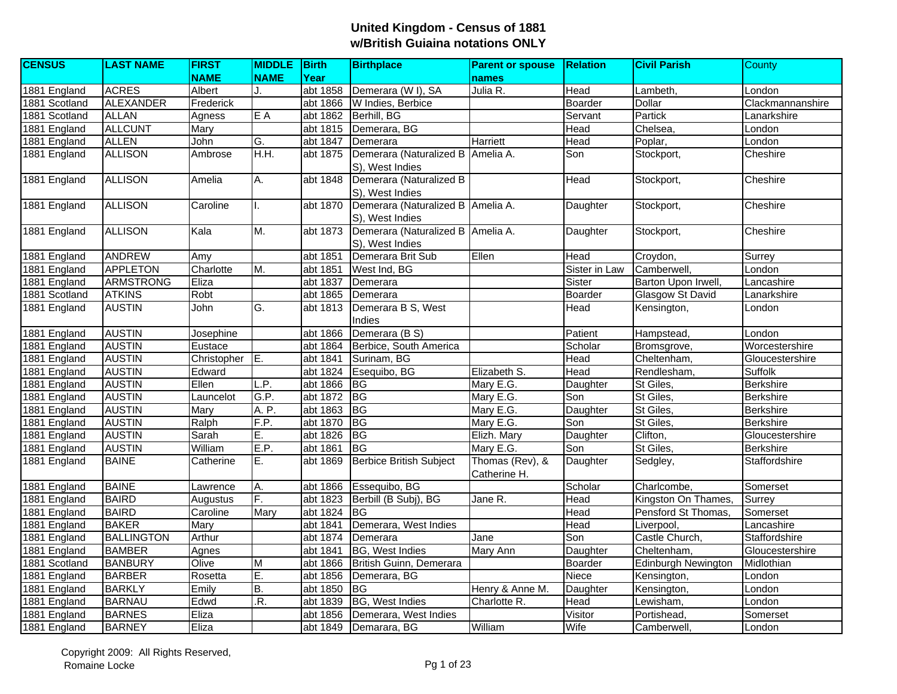| <b>CENSUS</b> | <b>LAST NAME</b>  | <b>FIRST</b> | <b>MIDDLE</b> | Birth    | <b>Birthplace</b>                   | <b>Parent or spouse</b> | <b>Relation</b> | <b>Civil Parish</b> | County           |
|---------------|-------------------|--------------|---------------|----------|-------------------------------------|-------------------------|-----------------|---------------------|------------------|
|               |                   | <b>NAME</b>  | <b>NAME</b>   | Year     |                                     | names                   |                 |                     |                  |
| 1881 England  | <b>ACRES</b>      | Albert       | J.            | abt 1858 | Demerara (W I), SA                  | Julia R.                | Head            | Lambeth.            | London           |
| 1881 Scotland | ALEXANDER         | Frederick    |               | abt 1866 | W Indies, Berbice                   |                         | Boarder         | Dollar              | Clackmannanshire |
| 1881 Scotland | <b>ALLAN</b>      | Agness       | E A           | abt 1862 | Berhill, BG                         |                         | Servant         | Partick             | Lanarkshire      |
| 1881 England  | <b>ALLCUNT</b>    | Mary         |               | abt 1815 | Demerara, BG                        |                         | Head            | Chelsea.            | London           |
| 1881 England  | <b>ALLEN</b>      | John         | G.            | abt 1847 | Demerara                            | Harriett                | Head            | Poplar,             | London           |
| 1881 England  | <b>ALLISON</b>    | Ambrose      | H.H.          | abt 1875 | Demerara (Naturalized B             | Amelia A.               | Son             | Stockport,          | Cheshire         |
|               |                   |              |               |          | S), West Indies                     |                         |                 |                     |                  |
| 1881 England  | <b>ALLISON</b>    | Amelia       | Α.            | abt 1848 | Demerara (Naturalized B             |                         | Head            | Stockport,          | Cheshire         |
|               |                   |              |               |          | S), West Indies                     |                         |                 |                     |                  |
| 1881 England  | <b>ALLISON</b>    | Caroline     |               | abt 1870 | Demerara (Naturalized B   Amelia A. |                         | Daughter        | Stockport,          | Cheshire         |
|               |                   |              |               |          | S), West Indies                     |                         |                 |                     |                  |
| 1881 England  | <b>ALLISON</b>    | Kala         | М.            | abt 1873 | Demerara (Naturalized B Amelia A.   |                         | Daughter        | Stockport,          | Cheshire         |
|               |                   |              |               |          | S), West Indies                     |                         |                 |                     |                  |
| 1881 England  | <b>ANDREW</b>     | Amy          |               | abt 1851 | Demerara Brit Sub                   | Ellen                   | Head            | Croydon,            | Surrey           |
| 1881 England  | <b>APPLETON</b>   | Charlotte    | M.            | abt 1851 | West Ind, BG                        |                         | Sister in Law   | Camberwell,         | London           |
| 1881 England  | <b>ARMSTRONG</b>  | Eliza        |               | abt 1837 | Demerara                            |                         | Sister          | Barton Upon Irwell, | Lancashire       |
| 1881 Scotland | <b>ATKINS</b>     | Robt         |               | abt 1865 | Demerara                            |                         | Boarder         | Glasgow St David    | Lanarkshire      |
| 1881 England  | <b>AUSTIN</b>     | John         | G.            | abt 1813 | Demerara B S, West                  |                         | Head            | Kensington,         | London           |
|               |                   |              |               |          | Indies                              |                         |                 |                     |                  |
| 1881 England  | <b>AUSTIN</b>     | Josephine    |               | abt 1866 | Demerara (B S)                      |                         | Patient         | Hampstead,          | London           |
| 1881 England  | <b>AUSTIN</b>     | Eustace      |               | abt 1864 | Berbice, South America              |                         | Scholar         | Bromsgrove,         | Worcestershire   |
| 1881 England  | <b>AUSTIN</b>     | Christopher  | E.            | abt 1841 | Surinam, BG                         |                         | Head            | Cheltenham,         | Gloucestershire  |
| 1881 England  | <b>AUSTIN</b>     | Edward       |               | abt 1824 | Esequibo, BG                        | Elizabeth S.            | Head            | Rendlesham,         | <b>Suffolk</b>   |
| 1881 England  | <b>AUSTIN</b>     | Ellen        | L.P.          | abt 1866 | <b>BG</b>                           | Mary E.G.               | Daughter        | St Giles,           | <b>Berkshire</b> |
| 1881 England  | <b>AUSTIN</b>     | Launcelot    | G.P.          | abt 1872 | BG                                  | Mary E.G.               | Son             | St Giles,           | Berkshire        |
| 1881 England  | <b>AUSTIN</b>     | Mary         | A. P.         | abt 1863 | $\overline{B}$                      | Mary E.G.               | Daughter        | St Giles,           | <b>Berkshire</b> |
| 1881 England  | <b>AUSTIN</b>     | Ralph        | F.P.          | abt 1870 | B <sub>G</sub>                      | Mary E.G.               | Son             | St Giles,           | <b>Berkshire</b> |
| 1881 England  | <b>AUSTIN</b>     | Sarah        | E.            | abt 1826 | <b>BG</b>                           | Elizh. Mary             | Daughter        | Clifton,            | Gloucestershire  |
| 1881 England  | <b>AUSTIN</b>     | William      | E.P.          | abt 1861 | BG                                  | Mary E.G.               | Son             | St Giles,           | <b>Berkshire</b> |
| 1881 England  | <b>BAINE</b>      | Catherine    | Ε.            | abt 1869 | Berbice British Subject             | Thomas (Rev), &         | Daughter        | Sedgley,            | Staffordshire    |
|               |                   |              |               |          |                                     | Catherine H.            |                 |                     |                  |
| 1881 England  | <b>BAINE</b>      | Lawrence     | Α.            | abt 1866 | Essequibo, BG                       |                         | Scholar         | Charlcombe,         | Somerset         |
| 1881 England  | <b>BAIRD</b>      | Augustus     | F.            | abt 1823 | Berbill (B Subj), BG                | Jane R.                 | Head            | Kingston On Thames, | Surrey           |
| 1881 England  | <b>BAIRD</b>      | Caroline     | Mary          | abt 1824 | IBG.                                |                         | Head            | Pensford St Thomas, | Somerset         |
| 1881 England  | <b>BAKER</b>      | Mary         |               | abt 1841 | Demerara, West Indies               |                         | Head            | Liverpool,          | Lancashire       |
| 1881 England  | <b>BALLINGTON</b> | Arthur       |               | abt 1874 | Demerara                            | Jane                    | Son             | Castle Church,      | Staffordshire    |
| 1881 England  | <b>BAMBER</b>     | Agnes        |               | abt 1841 | BG, West Indies                     | Mary Ann                | Daughter        | Cheltenham.         | Gloucestershire  |
| 1881 Scotland | <b>BANBURY</b>    | Olive        | M             | abt 1866 | British Guinn, Demerara             |                         | Boarder         | Edinburgh Newington | Midlothian       |
| 1881 England  | <b>BARBER</b>     | Rosetta      | E.            | abt 1856 | Demerara, BG                        |                         | Niece           | Kensington,         | London           |
| 1881 England  | <b>BARKLY</b>     | Emily        | B.            | abt 1850 | BG                                  | Henry & Anne M.         | Daughter        | Kensington,         | London           |
| 1881 England  | <b>BARNAU</b>     | Edwd         | R.            | abt 1839 | BG, West Indies                     | Charlotte R.            | Head            | Lewisham,           | London           |
| 1881 England  | <b>BARNES</b>     | Eliza        |               | abt 1856 | Demerara, West Indies               |                         | Visitor         | Portishead,         | Somerset         |
| 1881 England  | <b>BARNEY</b>     | Eliza        |               | abt 1849 | Demarara, BG                        | William                 | Wife            | Camberwell.         | London           |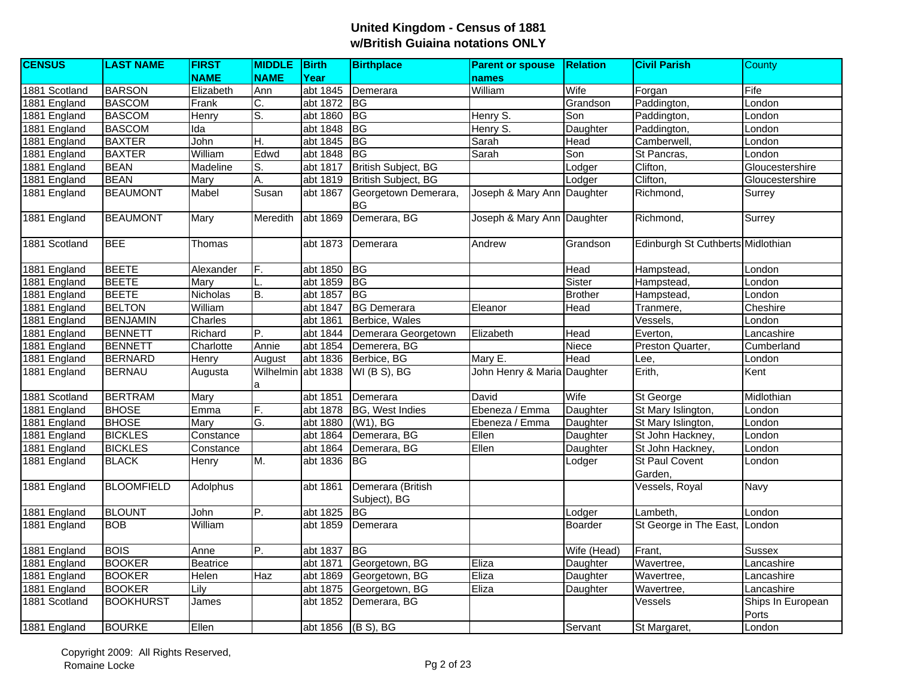| <b>CENSUS</b> | <b>LAST NAME</b>  | <b>FIRST</b>    | <b>MIDDLE</b>           | <b>Birth</b>       | <b>Birthplace</b>                 | <b>Parent or spouse</b>     | <b>Relation</b> | <b>Civil Parish</b>               | County                     |
|---------------|-------------------|-----------------|-------------------------|--------------------|-----------------------------------|-----------------------------|-----------------|-----------------------------------|----------------------------|
|               |                   | <b>NAME</b>     | <b>NAME</b>             | Year               |                                   | names                       |                 |                                   |                            |
| 1881 Scotland | <b>BARSON</b>     | Elizabeth       | Ann                     | abt 1845           | Demerara                          | William                     | Wife            | Forgan                            | Fife                       |
| 1881 England  | <b>BASCOM</b>     | Frank           | C.                      | abt 1872           | $\overline{B}$                    |                             | Grandson        | Paddington,                       | London                     |
| 1881 England  | <b>BASCOM</b>     | Henry           | S.                      | abt 1860           | $\overline{B}$                    | Henry S.                    | Son             | Paddington,                       | London                     |
| 1881 England  | <b>BASCOM</b>     | Ida             |                         | abt 1848           | <b>BG</b>                         | Henry S.                    | Daughter        | Paddington,                       | London                     |
| 1881 England  | <b>BAXTER</b>     | John            | Η.                      | abt 1845           | BG                                | Sarah                       | Head            | Camberwell.                       | London                     |
| 1881 England  | <b>BAXTER</b>     | William         | Edwd                    | abt 1848           | <b>BG</b>                         | Sarah                       | Son             | St Pancras,                       | London                     |
| 1881 England  | <b>BEAN</b>       | Madeline        | S.                      | abt 1817           | <b>British Subject, BG</b>        |                             | Lodger          | Clifton,                          | Gloucestershire            |
| 1881 England  | <b>BEAN</b>       | Mary            | A.                      | abt 1819           | British Subject, BG               |                             | Lodger          | Clifton,                          | Gloucestershire            |
| 1881 England  | <b>BEAUMONT</b>   | Mabel           | Susan                   | abt 1867           | Georgetown Demerara,<br>BG        | Joseph & Mary Ann Daughter  |                 | Richmond,                         | Surrey                     |
| 1881 England  | <b>BEAUMONT</b>   | Mary            | Meredith                | abt 1869           | Demerara, BG                      | Joseph & Mary Ann Daughter  |                 | Richmond,                         | Surrey                     |
| 1881 Scotland | <b>BEE</b>        | Thomas          |                         | abt 1873           | Demerara                          | Andrew                      | Grandson        | Edinburgh St Cuthberts Midlothian |                            |
| 1881 England  | <b>BEETE</b>      | Alexander       | F.                      | abt 1850           | <b>BG</b>                         |                             | Head            | Hampstead,                        | London                     |
| 1881 England  | <b>BEETE</b>      | Mary            |                         | abt 1859           | BG                                |                             | Sister          | Hampstead,                        | London                     |
| 1881 England  | <b>BEETE</b>      | Nicholas        | B.                      | abt 1857           | <b>BG</b>                         |                             | <b>Brother</b>  | Hampstead,                        | London                     |
| 1881 England  | <b>BELTON</b>     | William         |                         | abt 1847           | <b>BG Demerara</b>                | Eleanor                     | Head            | Tranmere,                         | Cheshire                   |
| 1881 England  | <b>BENJAMIN</b>   | Charles         |                         | abt 1861           | Berbice, Wales                    |                             |                 | Vessels,                          | London                     |
| 1881 England  | <b>BENNETT</b>    | Richard         | Ρ.                      | abt 1844           | Demerara Georgetown               | Elizabeth                   | Head            | Everton,                          | Lancashire                 |
| 1881 England  | <b>BENNETT</b>    | Charlotte       | Annie                   | abt 1854           | Demerera, BG                      |                             | Niece           | Preston Quarter,                  | Cumberland                 |
| 1881 England  | <b>BERNARD</b>    | Henry           | August                  | abt 1836           | Berbice, BG                       | Mary E.                     | <b>Head</b>     | Lee,                              | London                     |
| 1881 England  | <b>BERNAU</b>     | Augusta         | Wilhelmin abt 1838<br>a |                    | WI(B S), BG                       | John Henry & Maria Daughter |                 | Erith,                            | Kent                       |
| 1881 Scotland | <b>BERTRAM</b>    | Mary            |                         | abt 1851           | Demerara                          | David                       | Wife            | St George                         | Midlothian                 |
| 1881 England  | <b>BHOSE</b>      | Emma            | F.                      | abt 1878           | BG, West Indies                   | Ebeneza / Emma              | Daughter        | St Mary Islington,                | London                     |
| 1881 England  | <b>BHOSE</b>      | Mary            | G.                      | abt 1880           | (W1), BG                          | Ebeneza / Emma              | Daughter        | St Mary Islington,                | London                     |
| 1881 England  | <b>BICKLES</b>    | Constance       |                         | abt 1864           | Demerara, BG                      | Ellen                       | Daughter        | St John Hackney,                  | London                     |
| 1881 England  | <b>BICKLES</b>    | Constance       |                         | abt 1864           | Demerara, BG                      | Ellen                       | Daughter        | St John Hackney,                  | London                     |
| 1881 England  | <b>BLACK</b>      | Henry           | M.                      | abt 1836           | IBG.                              |                             | Lodger          | St Paul Covent<br>Garden,         | London                     |
| 1881 England  | <b>BLOOMFIELD</b> | Adolphus        |                         | abt 1861           | Demerara (British<br>Subject), BG |                             |                 | Vessels, Royal                    | Navy                       |
| 1881 England  | <b>BLOUNT</b>     | John            | P.                      | abt 1825           | BG                                |                             | Lodger          | Lambeth,                          | London                     |
| 1881 England  | <b>BOB</b>        | William         |                         | abt 1859           | Demerara                          |                             | Boarder         | St George in The East,            | London                     |
| 1881 England  | <b>BOIS</b>       | Anne            | P.                      | abt 1837           | <b>BG</b>                         |                             | Wife (Head)     | Frant,                            | Sussex                     |
| 1881 England  | <b>BOOKER</b>     | <b>Beatrice</b> |                         | abt 1871           | Georgetown, BG                    | Eliza                       | Daughter        | Wavertree,                        | Lancashire                 |
| 1881 England  | <b>BOOKER</b>     | Helen           | Haz                     | abt 1869           | Georgetown, BG                    | Eliza                       | Daughter        | Wavertree,                        | Lancashire                 |
| 1881 England  | <b>BOOKER</b>     | Lily            |                         | abt 1875           | Georgetown, BG                    | Eliza                       | Daughter        | Wavertree,                        | Lancashire                 |
| 1881 Scotland | <b>BOOKHURST</b>  | James           |                         | abt 1852           | Demerara, BG                      |                             |                 | Vessels                           | Ships In European<br>Ports |
| 1881 England  | <b>BOURKE</b>     | Ellen           |                         | abt 1856 (B S), BG |                                   |                             | Servant         | St Margaret,                      | London                     |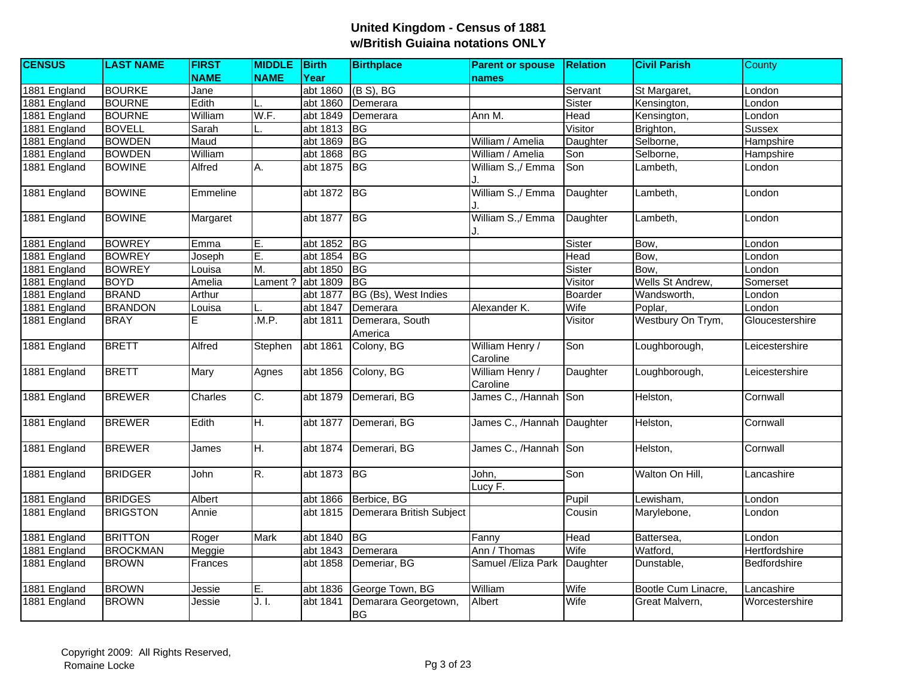| <b>CENSUS</b> | <b>LAST NAME</b> | <b>FIRST</b> | <b>MIDDLE</b> | <b>Birth</b> | <b>Birthplace</b>        | <b>Parent or spouse</b>     | <b>Relation</b> | <b>Civil Parish</b> | County          |
|---------------|------------------|--------------|---------------|--------------|--------------------------|-----------------------------|-----------------|---------------------|-----------------|
|               |                  | <b>NAME</b>  | <b>NAME</b>   | Year         |                          | names                       |                 |                     |                 |
| 1881 England  | <b>BOURKE</b>    | Jane         |               | abt 1860     | $(B S)$ , BG             |                             | Servant         | St Margaret,        | London          |
| 1881 England  | <b>BOURNE</b>    | Edith        |               | abt 1860     | Demerara                 |                             | Sister          | Kensington,         | London          |
| 1881 England  | <b>BOURNE</b>    | William      | W.F.          | abt 1849     | Demerara                 | Ann M.                      | Head            | Kensington,         | London          |
| 1881 England  | <b>BOVELL</b>    | Sarah        |               | abt 1813     | <b>BG</b>                |                             | Visitor         | Brighton,           | <b>Sussex</b>   |
| 1881 England  | <b>BOWDEN</b>    | Maud         |               | abt 1869     | $\overline{B}$           | William / Amelia            | Daughter        | Selborne,           | Hampshire       |
| 1881 England  | <b>BOWDEN</b>    | William      |               | abt 1868     | BG                       | William / Amelia            | Son             | Selborne,           | Hampshire       |
| 1881 England  | <b>BOWINE</b>    | Alfred       | A.            | abt 1875     | <b>BG</b>                | William S.,/ Emma           | Son             | Lambeth.            | London          |
|               |                  |              |               |              |                          |                             |                 |                     |                 |
| 1881 England  | <b>BOWINE</b>    | Emmeline     |               | abt 1872 BG  |                          | William S.,/ Emma           | Daughter        | Lambeth,            | London          |
|               |                  |              |               |              |                          |                             |                 |                     |                 |
| 1881 England  | <b>BOWINE</b>    | Margaret     |               | abt 1877     | $\overline{B}$           | William S.,/ Emma           | Daughter        | Lambeth,            | London          |
|               |                  |              |               |              |                          |                             |                 |                     |                 |
| 1881 England  | <b>BOWREY</b>    | Emma         | E.            | abt 1852     | $\overline{B}$           |                             | Sister          | Bow,                | London          |
| 1881 England  | <b>BOWREY</b>    | Joseph       | E.            | abt 1854     | BG                       |                             | Head            | Bow,                | London          |
| 1881 England  | <b>BOWREY</b>    | Louisa       | M.            | abt 1850     | <b>BG</b>                |                             | Sister          | Bow.                | London          |
| 1881 England  | <b>BOYD</b>      | Amelia       | Lament?       | abt 1809     | BG                       |                             | Visitor         | Wells St Andrew,    | Somerset        |
| 1881 England  | <b>BRAND</b>     | Arthur       |               | abt 1877     | BG (Bs), West Indies     |                             | Boarder         | Wandsworth,         | London          |
| 1881 England  | <b>BRANDON</b>   | Louisa       |               | abt 1847     | Demerara                 | Alexander K.                | Wife            | Poplar,             | London          |
| 1881 England  | <b>BRAY</b>      | E            | .M.P.         | abt 1811     | Demerara, South          |                             | Visitor         | Westbury On Trym,   | Gloucestershire |
|               |                  |              |               |              | America                  |                             |                 |                     |                 |
| 1881 England  | <b>BRETT</b>     | Alfred       | Stephen       | abt 1861     | Colony, BG               | William Henry /<br>Caroline | Son             | Loughborough,       | Leicestershire  |
| 1881 England  | <b>BRETT</b>     | Mary         | Agnes         | abt 1856     | Colony, BG               | William Henry /<br>Caroline | Daughter        | Loughborough,       | Leicestershire  |
| 1881 England  | <b>BREWER</b>    | Charles      | C.            | abt 1879     | Demerari, BG             | James C., /Hannah Son       |                 | Helston,            | Cornwall        |
| 1881 England  | <b>BREWER</b>    | Edith        | H.            | abt 1877     | Demerari, BG             | James C., /Hannah           | Daughter        | Helston,            | Cornwall        |
| 1881 England  | <b>BREWER</b>    | James        | H.            | abt 1874     | Demerari, BG             | James C., /Hannah Son       |                 | Helston,            | Cornwall        |
| 1881 England  | <b>BRIDGER</b>   | John         | R.            | abt 1873     | <b>BG</b>                | John,<br>Lucy F.            | Son             | Walton On Hill,     | Lancashire      |
| 1881 England  | <b>BRIDGES</b>   | Albert       |               | abt 1866     | Berbice, BG              |                             | Pupil           | Lewisham,           | London          |
| 1881 England  | <b>BRIGSTON</b>  | Annie        |               | abt 1815     | Demerara British Subject |                             | Cousin          | Marylebone,         | London          |
|               |                  |              |               |              |                          |                             |                 |                     |                 |
| 1881 England  | <b>BRITTON</b>   | Roger        | <b>Mark</b>   | abt 1840     | BG                       | Fanny                       | Head            | Battersea,          | London          |
| 1881 England  | <b>BROCKMAN</b>  | Meggie       |               | abt 1843     | Demerara                 | Ann / Thomas                | Wife            | Watford,            | Hertfordshire   |
| 1881 England  | <b>BROWN</b>     | Frances      |               | abt 1858     | Demeriar, BG             | Samuel /Eliza Park          | Daughter        | Dunstable,          | Bedfordshire    |
| 1881 England  | <b>BROWN</b>     | Jessie       | E.            | abt 1836     | George Town, BG          | William                     | Wife            | Bootle Cum Linacre, | Lancashire      |
| 1881 England  | <b>BROWN</b>     | Jessie       | J. I.         | abt 1841     | Demarara Georgetown,     | Albert                      | Wife            | Great Malvern,      | Worcestershire  |
|               |                  |              |               |              | <b>BG</b>                |                             |                 |                     |                 |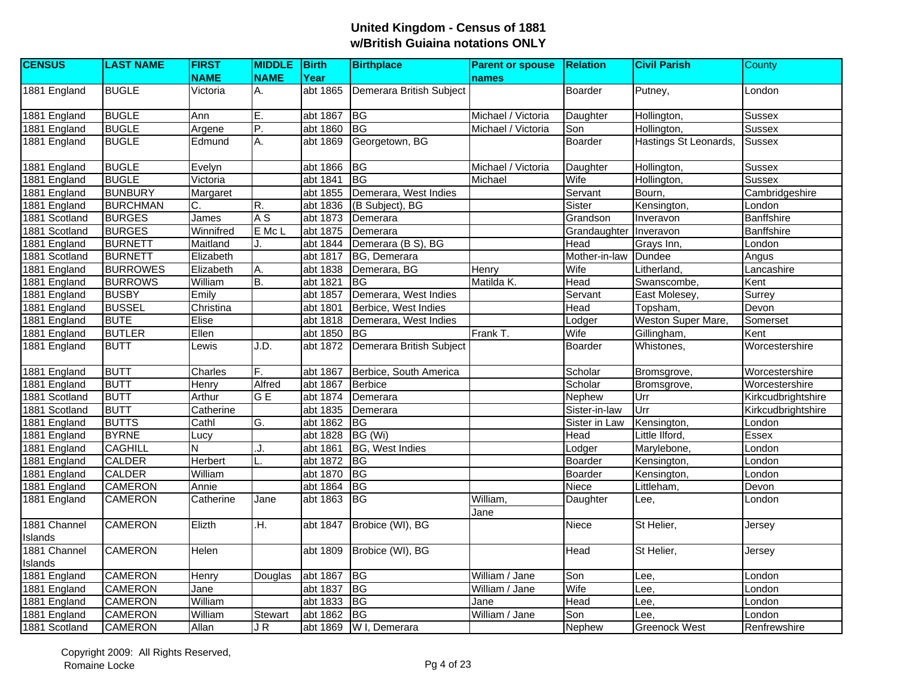| <b>CENSUS</b> | <b>LAST NAME</b> | <b>FIRST</b>            | MIDDLE Birth   |          | <b>Birthplace</b>                 | <b>Parent or spouse</b> | <b>Relation</b> | <b>Civil Parish</b>   | County             |
|---------------|------------------|-------------------------|----------------|----------|-----------------------------------|-------------------------|-----------------|-----------------------|--------------------|
|               |                  | <b>NAME</b>             | <b>NAME</b>    | Year     |                                   | names                   |                 |                       |                    |
| 1881 England  | <b>BUGLE</b>     | Victoria                | А.             |          | abt 1865 Demerara British Subject |                         | Boarder         | Putney,               | London             |
| 1881 England  | <b>BUGLE</b>     | Ann                     | E.             | abt 1867 | <b>BG</b>                         | Michael / Victoria      | Daughter        | Hollington,           | Sussex             |
| 1881 England  | <b>BUGLE</b>     | Argene                  | Ŀ              | abt 1860 | BG                                | Michael / Victoria      | Son             | Hollington,           | <b>Sussex</b>      |
| 1881 England  | <b>BUGLE</b>     | Edmund                  | Α.             | abt 1869 | Georgetown, BG                    |                         | Boarder         | Hastings St Leonards, | <b>Sussex</b>      |
| 1881 England  | <b>BUGLE</b>     | Evelyn                  |                | abt 1866 | <b>BG</b>                         | Michael / Victoria      | Daughter        | Hollington,           | <b>Sussex</b>      |
| 1881 England  | <b>BUGLE</b>     | Victoria                |                | abt 1841 | <b>BG</b>                         | Michael                 | Wife            | Hollington,           | <b>Sussex</b>      |
| 1881 England  | <b>BUNBURY</b>   | Margaret                |                | abt 1855 | Demerara, West Indies             |                         | Servant         | Bourn,                | Cambridgeshire     |
| 1881 England  | <b>BURCHMAN</b>  | C.                      | R.             | abt 1836 | (B Subject), BG                   |                         | Sister          | Kensington,           | London             |
| 1881 Scotland | <b>BURGES</b>    | James                   | A <sub>S</sub> | abt 1873 | Demerara                          |                         | Grandson        | Inveravon             | <b>Banffshire</b>  |
| 1881 Scotland | <b>BURGES</b>    | Winnifred               | E Mc L         | abt 1875 | Demerara                          |                         | Grandaughter    | Inveravon             | <b>Banffshire</b>  |
| 1881 England  | <b>BURNETT</b>   | Maitland                | J              | abt 1844 | Demerara (B S), BG                |                         | Head            | Grays Inn,            | London             |
| 1881 Scotland | <b>BURNETT</b>   | Elizabeth               |                | abt 1817 | BG, Demerara                      |                         | Mother-in-law   | <b>Dundee</b>         | Angus              |
| 1881 England  | <b>BURROWES</b>  | Elizabeth               | A.             | abt 1838 | Demerara, BG                      | Henry                   | Wife            | Litherland,           | Lancashire         |
| 1881 England  | <b>BURROWS</b>   | William                 | B.             | abt 1821 | <b>BG</b>                         | Matilda K.              | Head            | Swanscombe,           | Kent               |
| 1881 England  | <b>BUSBY</b>     | Emily                   |                | abt 1857 | Demerara, West Indies             |                         | Servant         | East Molesey,         | Surrey             |
| 1881 England  | <b>BUSSEL</b>    | Christina               |                | abt 1801 | Berbice, West Indies              |                         | Head            | Topsham,              | Devon              |
| 1881 England  | <b>BUTE</b>      | Elise                   |                | abt 1818 | Demerara, West Indies             |                         | Lodger          | Weston Super Mare,    | Somerset           |
| 1881 England  | <b>BUTLER</b>    | Ellen                   |                | abt 1850 | <b>BG</b>                         | Frank T.                | Wife            | Gillingham,           | Kent               |
| 1881 England  | <b>BUTT</b>      | Lewis                   | J.D.           | abt 1872 | Demerara British Subject          |                         | Boarder         | Whistones,            | Worcestershire     |
| 1881 England  | <b>BUTT</b>      | Charles                 | F.             | abt 1867 | Berbice, South America            |                         | Scholar         | Bromsgrove,           | Worcestershire     |
| 1881 England  | <b>BUTT</b>      | Henry                   | Alfred         | abt 1867 | <b>Berbice</b>                    |                         | Scholar         | Bromsgrove,           | Worcestershire     |
| 1881 Scotland | <b>BUTT</b>      | Arthur                  | G <sub>E</sub> | abt 1874 | Demerara                          |                         | Nephew          | Urr                   | Kirkcudbrightshire |
| 1881 Scotland | <b>BUTT</b>      | Catherine               |                | abt 1835 | Demerara                          |                         | Sister-in-law   | Urr                   | Kirkcudbrightshire |
| 1881 England  | <b>BUTTS</b>     | Cathl                   | G.             | abt 1862 | BG                                |                         | Sister in Law   | Kensington,           | London             |
| 1881 England  | <b>BYRNE</b>     | Lucy                    |                | abt 1828 | BG (Wi)                           |                         | Head            | Little Ilford,        | Essex              |
| 1881 England  | <b>CAGHILL</b>   | $\overline{\mathsf{N}}$ | J.             | abt 1861 | <b>BG, West Indies</b>            |                         | Lodger          | Marylebone,           | London             |
| 1881 England  | <b>CALDER</b>    | Herbert                 |                | abt 1872 | BG                                |                         | Boarder         | Kensington,           | London             |
| 1881 England  | <b>CALDER</b>    | William                 |                | abt 1870 | <b>BG</b>                         |                         | Boarder         | Kensington,           | London             |
| 1881 England  | <b>CAMERON</b>   | Annie                   |                | abt 1864 | BG                                |                         | Niece           | Littleham,            | Devon              |
| 1881 England  | <b>CAMERON</b>   | Catherine               | Jane           | abt 1863 | $\overline{B}$                    | William,<br>Jane        | Daughter        | Lee,                  | London             |
| 1881 Channel  | <b>CAMERON</b>   | Elizth                  | .H.            | abt 1847 | Brobice (WI), BG                  |                         | Niece           | St Helier,            | Jersey             |
| Islands       |                  |                         |                |          |                                   |                         |                 |                       |                    |
| 1881 Channel  | <b>CAMERON</b>   | Helen                   |                | abt 1809 | Brobice (WI), BG                  |                         | Head            | St Helier,            | Jersey             |
| Islands       |                  |                         |                |          |                                   |                         |                 |                       |                    |
| 1881 England  | <b>CAMERON</b>   | Henry                   | Douglas        | abt 1867 | BG                                | William / Jane          | Son             | Lee.                  | London             |
| 1881 England  | <b>CAMERON</b>   | Jane                    |                | abt 1837 | $\overline{B}$                    | William / Jane          | Wife            | Lee,                  | London             |
| 1881 England  | <b>CAMERON</b>   | William                 |                | abt 1833 | <b>BG</b>                         | Jane                    | Head            | Lee.                  | London             |
| 1881 England  | <b>CAMERON</b>   | William                 | <b>Stewart</b> | abt 1862 | BG                                | William / Jane          | Son             | Lee,                  | London             |
| 1881 Scotland | <b>CAMERON</b>   | Allan                   | JR             |          | abt 1869 W I, Demerara            |                         | Nephew          | <b>Greenock West</b>  | Renfrewshire       |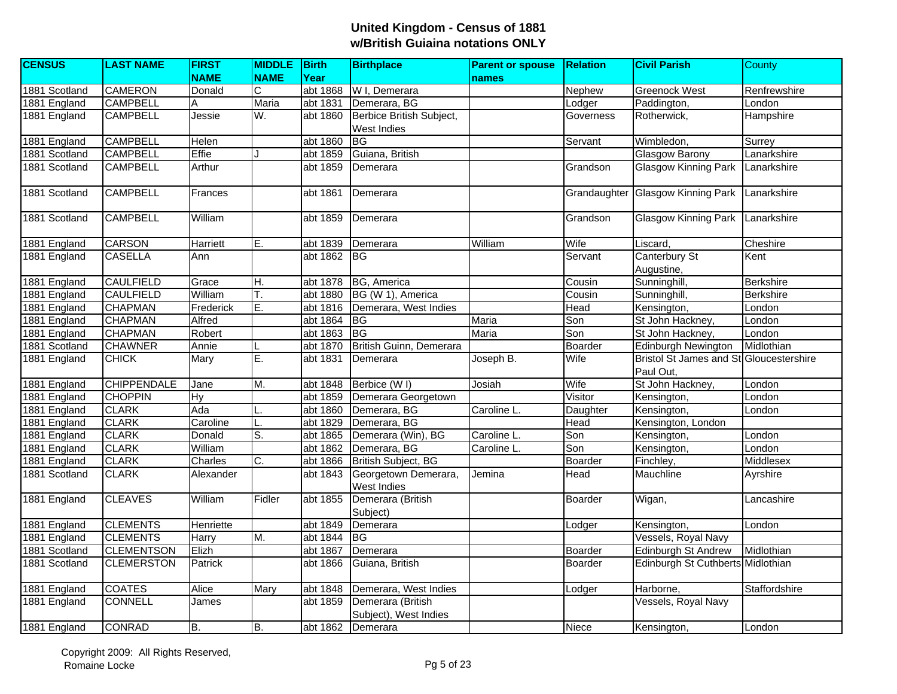| <b>CENSUS</b> | <b>LAST NAME</b>   | <b>FIRST</b> | <b>MIDDLE</b> Birth |          | <b>Birthplace</b>                          | <b>Parent or spouse</b> | <b>Relation</b> | <b>Civil Parish</b>                     | <b>County</b>    |
|---------------|--------------------|--------------|---------------------|----------|--------------------------------------------|-------------------------|-----------------|-----------------------------------------|------------------|
|               |                    | <b>NAME</b>  | <b>NAME</b>         | Year     |                                            | names                   |                 |                                         |                  |
| 1881 Scotland | <b>CAMERON</b>     | Donald       | $\mathsf C$         | abt 1868 | W I, Demerara                              |                         | Nephew          | <b>Greenock West</b>                    | Renfrewshire     |
| 1881 England  | <b>CAMPBELL</b>    | Α            | Maria               | abt 1831 | Demerara, BG                               |                         | Lodger          | Paddington,                             | London           |
| 1881 England  | <b>CAMPBELL</b>    | Jessie       | W.                  | abt 1860 | Berbice British Subject,                   |                         | Governess       | Rotherwick,                             | Hampshire        |
|               |                    |              |                     |          | West Indies                                |                         |                 |                                         |                  |
| 1881 England  | <b>CAMPBELL</b>    | Helen        |                     | abt 1860 | <b>BG</b>                                  |                         | Servant         | Wimbledon,                              | Surrey           |
| 1881 Scotland | <b>CAMPBELL</b>    | Effie        |                     | abt 1859 | Guiana, British                            |                         |                 | <b>Glasgow Barony</b>                   | Lanarkshire      |
| 1881 Scotland | <b>CAMPBELL</b>    | Arthur       |                     | abt 1859 | Demerara                                   |                         | Grandson        | <b>Glasgow Kinning Park</b>             | Lanarkshire      |
| 1881 Scotland | <b>CAMPBELL</b>    | Frances      |                     | abt 1861 | Demerara                                   |                         |                 | Grandaughter Glasgow Kinning Park       | Lanarkshire      |
| 1881 Scotland | <b>CAMPBELL</b>    | William      |                     | abt 1859 | Demerara                                   |                         | Grandson        | Glasgow Kinning Park Lanarkshire        |                  |
| 1881 England  | <b>CARSON</b>      | Harriett     | E.                  | abt 1839 | Demerara                                   | William                 | Wife            | Liscard,                                | Cheshire         |
| 1881 England  | <b>CASELLA</b>     | Ann          |                     | abt 1862 | <b>BG</b>                                  |                         | Servant         | Canterbury St                           | Kent             |
|               |                    |              |                     |          |                                            |                         |                 | Augustine,                              |                  |
| 1881 England  | <b>CAULFIELD</b>   | Grace        | H.                  | abt 1878 | BG, America                                |                         | Cousin          | Sunninghill,                            | <b>Berkshire</b> |
| 1881 England  | <b>CAULFIELD</b>   | William      | Τ.                  | abt 1880 | BG (W 1), America                          |                         | Cousin          | Sunninghill,                            | <b>Berkshire</b> |
| 1881 England  | <b>CHAPMAN</b>     | Frederick    | ĪΕ.                 | abt 1816 | Demerara, West Indies                      |                         | Head            | Kensington,                             | London           |
| 1881 England  | <b>CHAPMAN</b>     | Alfred       |                     | abt 1864 | <b>IBG</b>                                 | Maria                   | Son             | St John Hackney,                        | London           |
| 1881 England  | <b>CHAPMAN</b>     | Robert       |                     | abt 1863 | <b>BG</b>                                  | Maria                   | Son             | St John Hackney,                        | London           |
| 1881 Scotland | <b>CHAWNER</b>     | Annie        |                     | abt 1870 | British Guinn, Demerara                    |                         | Boarder         | <b>Edinburgh Newington</b>              | Midlothian       |
| 1881 England  | <b>CHICK</b>       | Mary         | E.                  | abt 1831 | Demerara                                   | Joseph B.               | Wife            | Bristol St James and St Gloucestershire |                  |
|               |                    |              |                     |          |                                            |                         |                 | Paul Out,                               |                  |
| 1881 England  | <b>CHIPPENDALE</b> | Jane         | M.                  | abt 1848 | Berbice (W I)                              | Josiah                  | Wife            | St John Hackney,                        | London           |
| 1881 England  | <b>CHOPPIN</b>     | <b>Hy</b>    |                     | abt 1859 | Demerara Georgetown                        |                         | Visitor         | Kensington,                             | London           |
| 1881 England  | <b>CLARK</b>       | Ada          |                     | abt 1860 | Demerara, BG                               | Caroline L.             | Daughter        | Kensington,                             | London           |
| 1881 England  | <b>CLARK</b>       | Caroline     |                     | abt 1829 | Demerara, BG                               |                         | Head            | Kensington, London                      |                  |
| 1881 England  | <b>CLARK</b>       | Donald       | S.                  | abt 1865 | Demerara (Win), BG                         | Caroline L.             | Son             | Kensington,                             | London           |
| 1881 England  | <b>CLARK</b>       | William      |                     | abt 1862 | Demerara, BG                               | Caroline L.             | Son             | Kensington,                             | London           |
| 1881 England  | <b>CLARK</b>       | Charles      | C.                  | abt 1866 | British Subject, BG                        |                         | Boarder         | Finchley,                               | <b>Middlesex</b> |
| 1881 Scotland | <b>CLARK</b>       | Alexander    |                     | abt 1843 | Georgetown Demerara,<br>West Indies        | Jemina                  | <b>Head</b>     | Mauchline                               | Ayrshire         |
| 1881 England  | <b>CLEAVES</b>     | William      | Fidler              | abt 1855 | Demerara (British<br>Subject)              |                         | <b>Boarder</b>  | Wigan,                                  | Lancashire       |
| 1881 England  | <b>CLEMENTS</b>    | Henriette    |                     | abt 1849 | Demerara                                   |                         | Lodger          | Kensington,                             | London           |
| 1881 England  | <b>CLEMENTS</b>    | Harry        | M.                  | abt 1844 | <b>BG</b>                                  |                         |                 | Vessels, Royal Navy                     |                  |
| 1881 Scotland | <b>CLEMENTSON</b>  | Elizh        |                     | abt 1867 | Demerara                                   |                         | Boarder         | <b>Edinburgh St Andrew</b>              | Midlothian       |
| 1881 Scotland | <b>CLEMERSTON</b>  | Patrick      |                     | abt 1866 | Guiana, British                            |                         | Boarder         | Edinburgh St Cuthberts Midlothian       |                  |
| 1881 England  | <b>COATES</b>      | Alice        | Mary                | abt 1848 | Demerara, West Indies                      |                         | Lodger          | Harborne,                               | Staffordshire    |
| 1881 England  | <b>CONNELL</b>     | James        |                     | abt 1859 | Demerara (British<br>Subject), West Indies |                         |                 | Vessels, Royal Navy                     |                  |
| 1881 England  | <b>CONRAD</b>      | B.           | B.                  | abt 1862 | Demerara                                   |                         | Niece           | Kensington,                             | London           |
|               |                    |              |                     |          |                                            |                         |                 |                                         |                  |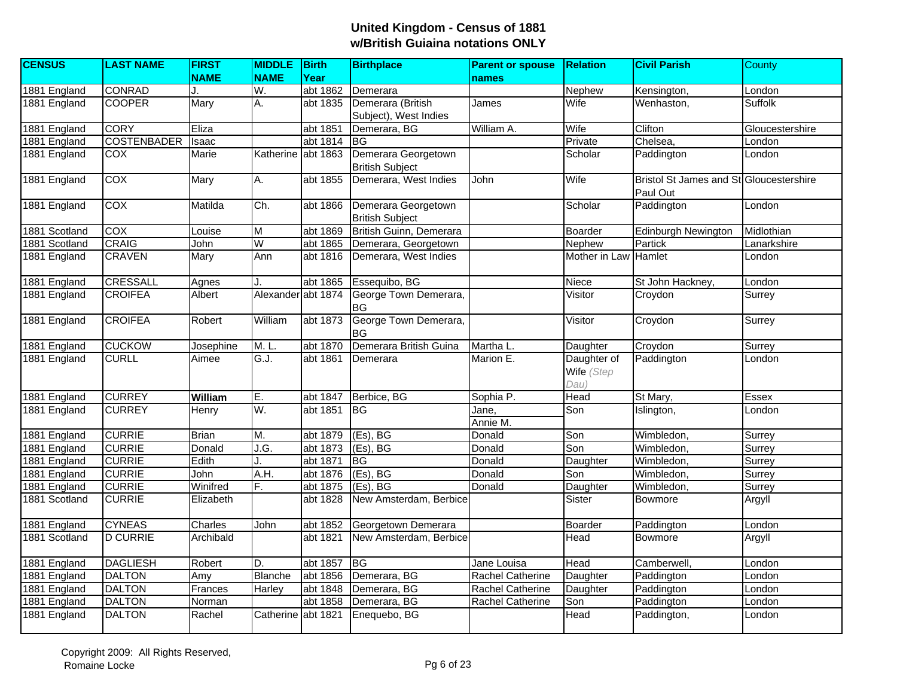| <b>CENSUS</b> | <b>LAST NAME</b>   | <b>FIRST</b> | <b>MIDDLE</b>      | Birth                 | <b>Birthplace</b>                             | <b>Parent or spouse</b> | <b>Relation</b>      | <b>Civil Parish</b>                     | <b>County</b>   |
|---------------|--------------------|--------------|--------------------|-----------------------|-----------------------------------------------|-------------------------|----------------------|-----------------------------------------|-----------------|
|               |                    | <b>NAME</b>  | <b>NAME</b>        | Year                  |                                               | names                   |                      |                                         |                 |
| 1881 England  | <b>CONRAD</b>      | J.           | W.                 | abt 1862              | Demerara                                      |                         | Nephew               | Kensington,                             | London          |
| 1881 England  | <b>COOPER</b>      | Mary         | A.                 | abt 1835              | Demerara (British                             | James                   | Wife                 | Wenhaston,                              | <b>Suffolk</b>  |
|               |                    |              |                    |                       | Subject), West Indies                         |                         |                      |                                         |                 |
| 1881 England  | <b>CORY</b>        | Eliza        |                    | abt 1851              | Demerara, BG                                  | William A.              | Wife                 | Clifton                                 | Gloucestershire |
| 1881 England  | <b>COSTENBADER</b> | Isaac        |                    | abt 1814              | <b>BG</b>                                     |                         | Private              | Chelsea,                                | London          |
| 1881 England  | <b>COX</b>         | Marie        | Katherine abt 1863 |                       | Demerara Georgetown<br><b>British Subject</b> |                         | Scholar              | Paddington                              | London          |
| 1881 England  | COX                | Mary         | A.                 | abt 1855              | Demerara, West Indies                         | John                    | Wife                 | Bristol St James and St Gloucestershire |                 |
|               |                    |              |                    |                       |                                               |                         |                      | Paul Out                                |                 |
| 1881 England  | COX                | Matilda      | Ch.                | abt 1866              | Demerara Georgetown                           |                         | Scholar              | Paddington                              | London          |
|               |                    |              |                    |                       | <b>British Subject</b>                        |                         |                      |                                         |                 |
| 1881 Scotland | COX                | Louise       | M                  | abt 1869              | British Guinn, Demerara                       |                         | Boarder              | <b>Edinburgh Newington</b>              | Midlothian      |
| 1881 Scotland | <b>CRAIG</b>       | John         | $\overline{W}$     | abt 1865              | Demerara, Georgetown                          |                         | Nephew               | Partick                                 | Lanarkshire     |
| 1881 England  | <b>CRAVEN</b>      | Mary         | Ann                | abt 1816              | Demerara, West Indies                         |                         | Mother in Law Hamlet |                                         | London          |
| 1881 England  | CRESSALL           | Agnes        |                    | abt 1865              | Essequibo, BG                                 |                         | Niece                | St John Hackney,                        | London          |
| 1881 England  | <b>CROIFEA</b>     | Albert       | Alexander abt 1874 |                       | George Town Demerara,                         |                         | Visitor              | Croydon                                 | Surrey          |
|               |                    |              |                    |                       | BG                                            |                         |                      |                                         |                 |
| 1881 England  | <b>CROIFEA</b>     | Robert       | William            | abt 1873              | George Town Demerara,<br>BG                   |                         | Visitor              | Croydon                                 | Surrey          |
| 1881 England  | <b>CUCKOW</b>      | Josephine    | M. L.              | abt 1870              | Demerara British Guina                        | Martha L.               | Daughter             | Croydon                                 | Surrey          |
| 1881 England  | <b>CURLL</b>       | Aimee        | G.J.               | abt 1861              | Demerara                                      | Marion E.               | Daughter of          | Paddington                              | London          |
|               |                    |              |                    |                       |                                               |                         | Wife (Step           |                                         |                 |
|               |                    |              |                    |                       |                                               |                         | Dau)                 |                                         |                 |
| 1881 England  | <b>CURREY</b>      | William      | E.                 | abt 1847              | Berbice, BG                                   | Sophia P.               | Head                 | St Mary,                                | <b>Essex</b>    |
| 1881 England  | <b>CURREY</b>      | Henry        | W.                 | abt 1851              | <b>BG</b>                                     | Jane.                   | Son                  | Islington,                              | London          |
|               |                    |              |                    |                       |                                               | Annie M.                |                      |                                         |                 |
| 1881 England  | <b>CURRIE</b>      | <b>Brian</b> | M.                 | abt 1879              | (Es), BG                                      | Donald                  | Son                  | Wimbledon,                              | Surrey          |
| 1881 England  | <b>CURRIE</b>      | Donald       | J.G.               | abt 1873              | (Es), BG                                      | Donald                  | Son                  | Wimbledon,                              | Surrey          |
| 1881 England  | <b>CURRIE</b>      | Edith        |                    | abt 1871              | BG                                            | Donald                  | Daughter             | Wimbledon,                              | Surrey          |
| 1881 England  | <b>CURRIE</b>      | John         | A.H.               | abt 1876              | $(Es)$ , BG                                   | Donald                  | Son                  | Wimbledon,                              | Surrey          |
| 1881 England  | <b>CURRIE</b>      | Winifred     | F.                 | abt 1875              | $(Es)$ , BG                                   | Donald                  | Daughter             | Wimbledon,                              | Surrey          |
| 1881 Scotland | <b>CURRIE</b>      | Elizabeth    |                    | abt 1828              | New Amsterdam, Berbice                        |                         | Sister               | Bowmore                                 | Argyll          |
| 1881 England  | <b>CYNEAS</b>      | Charles      | John               | abt 1852              | Georgetown Demerara                           |                         | Boarder              | Paddington                              | London          |
| 1881 Scotland | <b>D CURRIE</b>    | Archibald    |                    | abt 1821              | New Amsterdam, Berbice                        |                         | Head                 | Bowmore                                 | Argyll          |
|               |                    |              |                    |                       |                                               |                         |                      |                                         |                 |
| 1881 England  | <b>DAGLIESH</b>    | Robert       | D.                 | abt 1857              | <b>BG</b>                                     | Jane Louisa             | Head                 | Camberwell,                             | London          |
| 1881 England  | <b>DALTON</b>      | Amy          | <b>Blanche</b>     | abt 1856              | Demerara, BG                                  | Rachel Catherine        | Daughter             | Paddington                              | London          |
| 1881 England  | <b>DALTON</b>      | Frances      | <b>Harley</b>      | abt 1848              | Demerara, BG                                  | Rachel Catherine        | Daughter             | Paddington                              | London          |
| 1881 England  | <b>DALTON</b>      | Norman       |                    | abt 1858              | Demerara, BG                                  | Rachel Catherine        | Son                  | Paddington                              | London          |
| 1881 England  | <b>DALTON</b>      | Rachel       | Catherine          | abt $18\overline{21}$ | Enequebo, BG                                  |                         | Head                 | Paddington,                             | London          |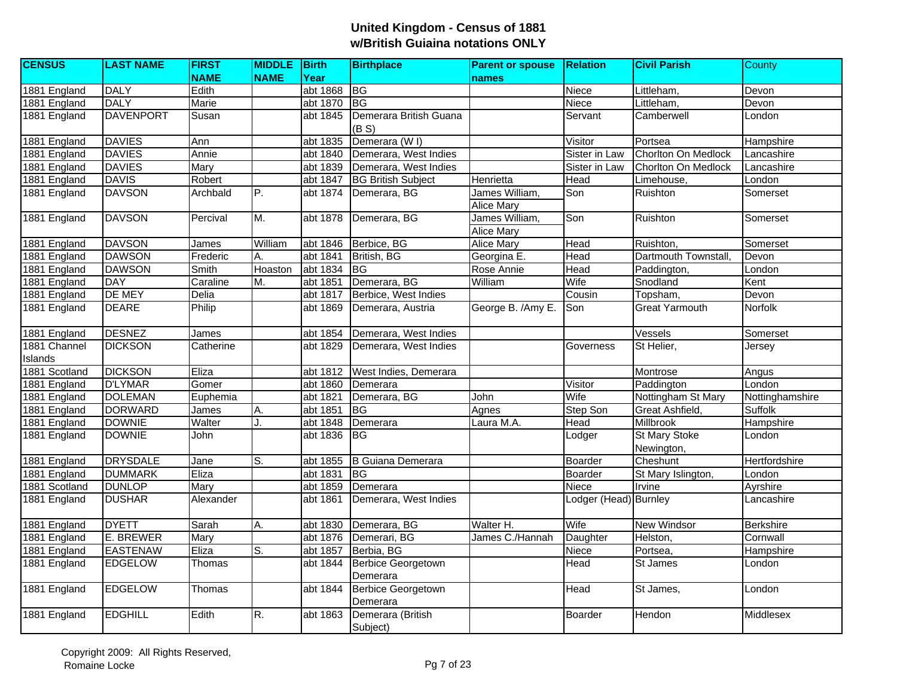| <b>CENSUS</b>           | <b>LAST NAME</b> | <b>FIRST</b> | MIDDLE Birth   |          | <b>Birthplace</b>                     | <b>Parent or spouse</b>             | <b>Relation</b>       | <b>Civil Parish</b>                | <b>County</b>    |
|-------------------------|------------------|--------------|----------------|----------|---------------------------------------|-------------------------------------|-----------------------|------------------------------------|------------------|
|                         |                  | <b>NAME</b>  | <b>NAME</b>    | Year     |                                       | names                               |                       |                                    |                  |
| 1881 England            | <b>DALY</b>      | Edith        |                | abt 1868 | B                                     |                                     | Niece                 | Littleham,                         | Devon            |
| 1881 England            | <b>DALY</b>      | Marie        |                | abt 1870 | <b>BG</b>                             |                                     | Niece                 | Littleham,                         | Devon            |
| 1881 England            | <b>DAVENPORT</b> | Susan        |                | abt 1845 | Demerara British Guana<br>(B S)       |                                     | Servant               | Camberwell                         | London           |
| 1881 England            | <b>DAVIES</b>    | Ann          |                | abt 1835 | Demerara (W I)                        |                                     | Visitor               | Portsea                            | Hampshire        |
| 1881 England            | <b>DAVIES</b>    | Annie        |                | abt 1840 | Demerara, West Indies                 |                                     | Sister in Law         | Chorlton On Medlock                | Lancashire       |
| 1881 England            | <b>DAVIES</b>    | Mary         |                | abt 1839 | Demerara, West Indies                 |                                     | Sister in Law         | <b>Chorlton On Medlock</b>         | Lancashire       |
| 1881 England            | <b>DAVIS</b>     | Robert       |                | abt 1847 | <b>BG British Subject</b>             | Henrietta                           | Head                  | Limehouse,                         | London           |
| 1881 England            | <b>DAVSON</b>    | Archbald     | P.             | abt 1874 | Demerara, BG                          | James William,<br><b>Alice Mary</b> | Son                   | Ruishton                           | Somerset         |
| 1881 England            | <b>DAVSON</b>    | Percival     | M.             | abt 1878 | Demerara, BG                          | James William,<br><b>Alice Mary</b> | Son                   | Ruishton                           | Somerset         |
| 1881 England            | <b>DAVSON</b>    | James        | William        | abt 1846 | Berbice, BG                           | <b>Alice Mary</b>                   | Head                  | Ruishton,                          | Somerset         |
| 1881 England            | <b>DAWSON</b>    | Frederic     | А.             | abt 1841 | British, BG                           | Georgina E.                         | Head                  | Dartmouth Townstall,               | Devon            |
| 1881 England            | <b>DAWSON</b>    | Smith        | Hoaston        | abt 1834 | <b>BG</b>                             | Rose Annie                          | Head                  | Paddington,                        | London           |
| 1881 England            | <b>DAY</b>       | Caraline     | M.             | abt 1851 | Demerara, BG                          | William                             | Wife                  | Snodland                           | Kent             |
| 1881 England            | DE MEY           | Delia        |                | abt 1817 | Berbice, West Indies                  |                                     | Cousin                | Topsham,                           | Devon            |
| 1881 England            | <b>DEARE</b>     | Philip       |                | abt 1869 | Demerara, Austria                     | George B. /Amy E.                   | Son                   | Great Yarmouth                     | <b>Norfolk</b>   |
| 1881 England            | <b>DESNEZ</b>    | James        |                | abt 1854 | Demerara, West Indies                 |                                     |                       | Vessels                            | Somerset         |
| 1881 Channel<br>Islands | <b>DICKSON</b>   | Catherine    |                | abt 1829 | Demerara, West Indies                 |                                     | Governess             | St Helier,                         | Jersey           |
| 1881 Scotland           | <b>DICKSON</b>   | Eliza        |                | abt 1812 | West Indies, Demerara                 |                                     |                       | Montrose                           | Angus            |
| 1881 England            | <b>D'LYMAR</b>   | Gomer        |                | abt 1860 | Demerara                              |                                     | Visitor               | Paddington                         | London           |
| 1881 England            | <b>DOLEMAN</b>   | Euphemia     |                | abt 1821 | Demerara, BG                          | John                                | Wife                  | Nottingham St Mary                 | Nottinghamshire  |
| 1881 England            | <b>DORWARD</b>   | James        | Α.             | abt 1851 | <b>BG</b>                             | Agnes                               | Step Son              | Great Ashfield,                    | <b>Suffolk</b>   |
| 1881 England            | <b>DOWNIE</b>    | Walter       | $\overline{1}$ | abt 1848 | Demerara                              | Laura M.A.                          | Head                  | <b>Millbrook</b>                   | Hampshire        |
| 1881 England            | <b>DOWNIE</b>    | John         |                | abt 1836 | <b>BG</b>                             |                                     | Lodger                | <b>St Mary Stoke</b><br>Newington, | London           |
| 1881 England            | <b>DRYSDALE</b>  | Jane         | S.             | abt 1855 | <b>B</b> Guiana Demerara              |                                     | Boarder               | Cheshunt                           | Hertfordshire    |
| 1881 England            | <b>DUMMARK</b>   | Eliza        |                | abt 1831 | IBG.                                  |                                     | Boarder               | St Mary Islington,                 | London           |
| 1881 Scotland           | <b>DUNLOP</b>    | Mary         |                | abt 1859 | Demerara                              |                                     | Niece                 | Irvine                             | Ayrshire         |
| 1881 England            | <b>DUSHAR</b>    | Alexander    |                | abt 1861 | Demerara, West Indies                 |                                     | Lodger (Head) Burnley |                                    | Lancashire       |
| 1881 England            | <b>DYETT</b>     | Sarah        | Α.             | abt 1830 | Demerara, BG                          | Walter H.                           | Wife                  | <b>New Windsor</b>                 | <b>Berkshire</b> |
| 1881 England            | E. BREWER        | Mary         |                | abt 1876 | Demerari, BG                          | James C./Hannah                     | Daughter              | Helston,                           | Cornwall         |
| 1881 England            | <b>EASTENAW</b>  | Eliza        | S.             | abt 1857 | Berbia, BG                            |                                     | Niece                 | Portsea,                           | Hampshire        |
| 1881 England            | <b>EDGELOW</b>   | Thomas       |                | abt 1844 | <b>Berbice Georgetown</b><br>Demerara |                                     | Head                  | St James                           | London           |
| 1881 England            | <b>EDGELOW</b>   | Thomas       |                | abt 1844 | <b>Berbice Georgetown</b><br>Demerara |                                     | <b>Head</b>           | St James,                          | London           |
| 1881 England            | <b>EDGHILL</b>   | Edith        | R.             | abt 1863 | Demerara (British<br>Subject)         |                                     | Boarder               | Hendon                             | Middlesex        |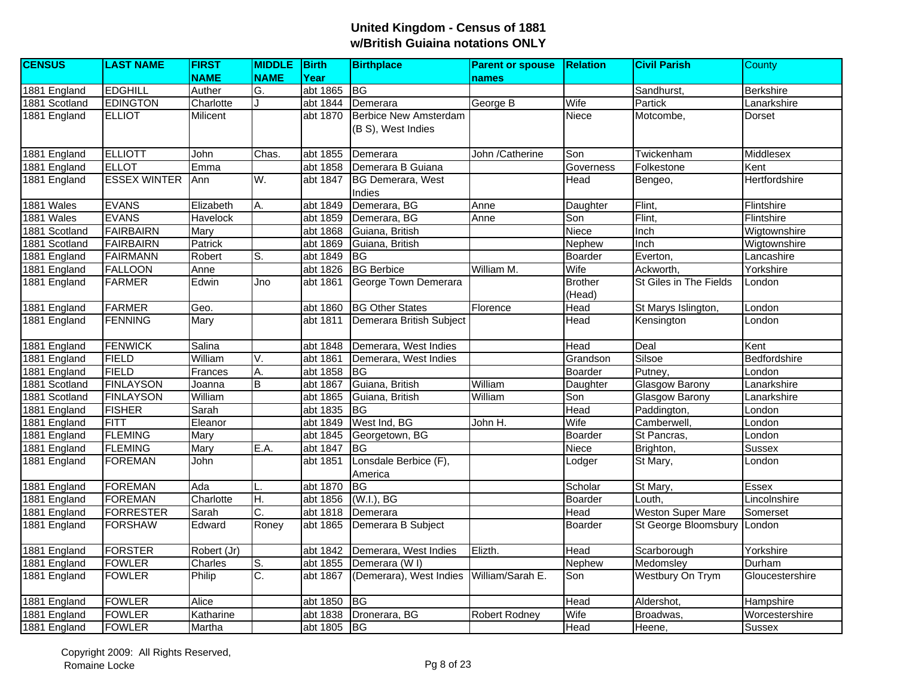| <b>CENSUS</b> | <b>LAST NAME</b>    | <b>FIRST</b>    | <b>MIDDLE</b> Birth |             | <b>Birthplace</b>                        | <b>Parent or spouse</b> | <b>Relation</b> | <b>Civil Parish</b>      | County          |
|---------------|---------------------|-----------------|---------------------|-------------|------------------------------------------|-------------------------|-----------------|--------------------------|-----------------|
|               |                     | <b>NAME</b>     | <b>NAME</b>         | Year        |                                          | names                   |                 |                          |                 |
| 1881 England  | <b>EDGHILL</b>      | Auther          | G.                  | abt 1865    | BG                                       |                         |                 | Sandhurst,               | Berkshire       |
| 1881 Scotland | <b>EDINGTON</b>     | Charlotte       |                     | abt 1844    | Demerara                                 | George B                | Wife            | Partick                  | Lanarkshire     |
| 1881 England  | <b>ELLIOT</b>       | <b>Milicent</b> |                     | abt 1870    | <b>Berbice New Amsterdam</b>             |                         | Niece           | Motcombe,                | Dorset          |
|               |                     |                 |                     |             | (B S), West Indies                       |                         |                 |                          |                 |
|               |                     |                 |                     |             |                                          |                         |                 |                          |                 |
| 1881 England  | <b>ELLIOTT</b>      | John            | Chas.               | abt 1855    | Demerara                                 | John /Catherine         | Son             | Twickenham               | Middlesex       |
| 1881 England  | <b>ELLOT</b>        | Emma            |                     | abt 1858    | Demerara B Guiana                        |                         | Governess       | Folkestone               | Kent            |
| 1881 England  | <b>ESSEX WINTER</b> | Ann             | W.                  | abt 1847    | <b>BG Demerara, West</b>                 |                         | Head            | Bengeo,                  | Hertfordshire   |
|               |                     |                 |                     |             | Indies                                   |                         |                 |                          |                 |
| 1881 Wales    | <b>EVANS</b>        | Elizabeth       | A.                  | abt 1849    | Demerara, BG                             | Anne                    | Daughter        | Flint,                   | Flintshire      |
| 1881 Wales    | <b>EVANS</b>        | <b>Havelock</b> |                     | abt 1859    | Demerara, BG                             | Anne                    | Son             | Flint,                   | Flintshire      |
| 1881 Scotland | <b>FAIRBAIRN</b>    | Mary            |                     | abt 1868    | Guiana, British                          |                         | Niece           | Inch                     | Wigtownshire    |
| 1881 Scotland | <b>FAIRBAIRN</b>    | Patrick         |                     | abt 1869    | Guiana, British                          |                         | Nephew          | Inch                     | Wigtownshire    |
| 1881 England  | <b>FAIRMANN</b>     | Robert          | S.                  | abt 1849    | <b>BG</b>                                |                         | Boarder         | Everton,                 | Lancashire      |
| 1881 England  | <b>FALLOON</b>      | Anne            |                     | abt 1826    | <b>BG</b> Berbice                        | William M.              | Wife            | Ackworth,                | Yorkshire       |
| 1881 England  | <b>FARMER</b>       | Edwin           | Jno                 | abt 1861    | George Town Demerara                     |                         | <b>Brother</b>  | St Giles in The Fields   | London          |
|               |                     |                 |                     |             |                                          |                         | (Head)          |                          |                 |
| 1881 England  | <b>FARMER</b>       | Geo.            |                     | abt 1860    | <b>BG Other States</b>                   | Florence                | Head            | St Marys Islington,      | London          |
| 1881 England  | <b>FENNING</b>      | Mary            |                     | abt 1811    | Demerara British Subject                 |                         | Head            | Kensington               | London          |
|               |                     |                 |                     |             |                                          |                         |                 |                          |                 |
| 1881 England  | <b>FENWICK</b>      | Salina          |                     | abt 1848    | Demerara, West Indies                    |                         | Head            | Deal                     | Kent            |
| 1881 England  | <b>FIELD</b>        | William         | V.                  | abt 1861    | Demerara, West Indies                    |                         | Grandson        | Silsoe                   | Bedfordshire    |
| 1881 England  | <b>FIELD</b>        | Frances         | A.                  | abt 1858    | <b>BG</b>                                |                         | Boarder         | Putney,                  | London          |
| 1881 Scotland | <b>FINLAYSON</b>    | Joanna          | B                   | abt 1867    | Guiana, British                          | William                 | Daughter        | <b>Glasgow Barony</b>    | Lanarkshire     |
| 1881 Scotland | <b>FINLAYSON</b>    | William         |                     | abt 1865    | Guiana, British                          | William                 | Son             | <b>Glasgow Barony</b>    | Lanarkshire     |
| 1881 England  | <b>FISHER</b>       | Sarah           |                     | abt 1835    | <b>BG</b>                                |                         | Head            | Paddington,              | London          |
| 1881 England  | <b>FITT</b>         | Eleanor         |                     | abt 1849    | West Ind, BG                             | John $H$ .              | Wife            | Camberwell,              | London          |
| 1881 England  | <b>FLEMING</b>      | Mary            |                     | abt 1845    | Georgetown, BG                           |                         | Boarder         | St Pancras,              | London          |
| 1881 England  | <b>FLEMING</b>      | Mary            | E.A.                | abt 1847    | <b>BG</b>                                |                         | Niece           | Brighton,                | <b>Sussex</b>   |
| 1881 England  | <b>FOREMAN</b>      | John            |                     | abt 1851    | Lonsdale Berbice (F),                    |                         | Lodger          | St Mary,                 | London          |
|               |                     |                 |                     |             | America                                  |                         |                 |                          |                 |
| 1881 England  | <b>FOREMAN</b>      | Ada             |                     | abt 1870    | <b>BG</b>                                |                         | Scholar         | St Mary,                 | <b>Essex</b>    |
| 1881 England  | <b>FOREMAN</b>      | Charlotte       | H.                  | abt 1856    | $(W.I.)$ , BG                            |                         | Boarder         | Louth,                   | Lincolnshire    |
| 1881 England  | <b>FORRESTER</b>    | Sarah           | $\overline{C}$ .    | abt 1818    | Demerara                                 |                         | Head            | <b>Weston Super Mare</b> | Somerset        |
| 1881 England  | <b>FORSHAW</b>      | Edward          | Roney               | abt 1865    | Demerara B Subject                       |                         | Boarder         | St George Bloomsbury     | London          |
| 1881 England  | <b>FORSTER</b>      | Robert (Jr)     |                     | abt 1842    | Demerara, West Indies                    | Elizth.                 | Head            | Scarborough              | Yorkshire       |
| 1881 England  | <b>FOWLER</b>       | Charles         | S.                  | abt 1855    | Demerara (W I)                           |                         | Nephew          | Medomsley                | Durham          |
| 1881 England  | <b>FOWLER</b>       | Philip          | $\overline{C}$ .    | abt 1867    | (Demerara), West Indies William/Sarah E. |                         | Son             | Westbury On Trym         | Gloucestershire |
|               |                     |                 |                     |             |                                          |                         |                 |                          |                 |
| 1881 England  | <b>FOWLER</b>       | Alice           |                     | abt 1850    | <b>BG</b>                                |                         | Head            | Aldershot,               | Hampshire       |
| 1881 England  | <b>FOWLER</b>       | Katharine       |                     | abt 1838    | Dronerara, BG                            | <b>Robert Rodney</b>    | Wife            | Broadwas,                | Worcestershire  |
| 1881 England  | <b>FOWLER</b>       | Martha          |                     | abt 1805 BG |                                          |                         | Head            | Heene,                   | Sussex          |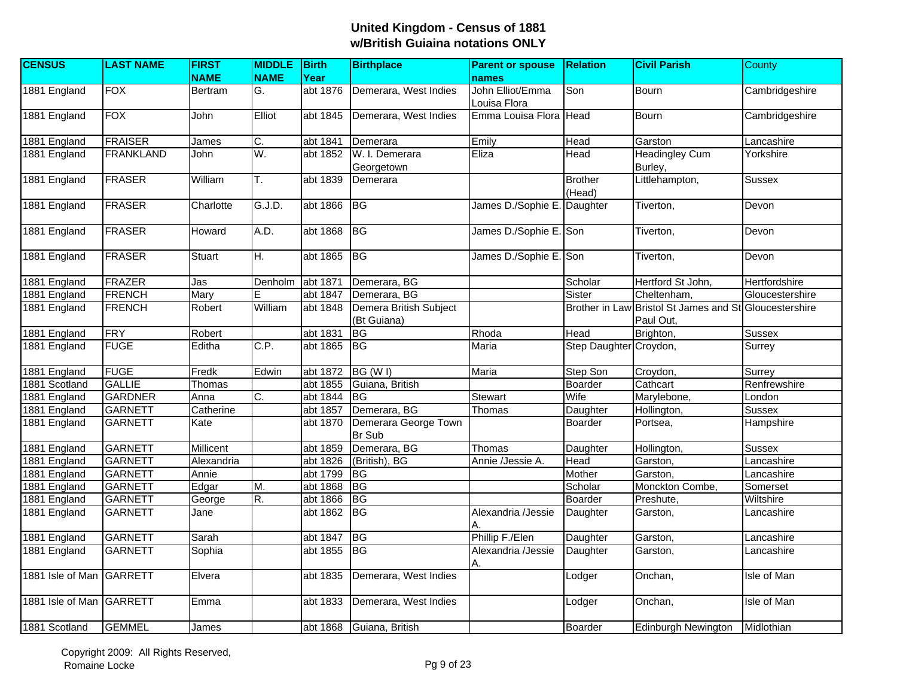| <b>CENSUS</b>            | <b>LAST NAME</b> | <b>FIRST</b>   | <b>MIDDLE</b> | Birth    | <b>Birthplace</b>                     | <b>Parent or spouse</b>          | <b>Relation</b>          | <b>Civil Parish</b>                                  | County             |
|--------------------------|------------------|----------------|---------------|----------|---------------------------------------|----------------------------------|--------------------------|------------------------------------------------------|--------------------|
|                          |                  | <b>NAME</b>    | <b>NAME</b>   | Year     |                                       | names                            |                          |                                                      |                    |
| 1881 England             | <b>FOX</b>       | <b>Bertram</b> | G.            | abt 1876 | Demerara, West Indies                 | John Elliot/Emma<br>Louisa Flora | Son                      | <b>Bourn</b>                                         | Cambridgeshire     |
| 1881 England             | <b>FOX</b>       | John           | Elliot        | abt 1845 | Demerara, West Indies                 | Emma Louisa Flora                | Head                     | Bourn                                                | Cambridgeshire     |
| 1881 England             | <b>FRAISER</b>   | James          | C.            | abt 1841 | Demerara                              | Emily                            | Head                     | Garston                                              | Lancashire         |
| 1881 England             | <b>FRANKLAND</b> | John           | W.            | abt 1852 | W. I. Demerara<br>Georgetown          | Eliza                            | Head                     | <b>Headingley Cum</b><br>Burley,                     | Yorkshire          |
| 1881 England             | <b>FRASER</b>    | William        | T.            | abt 1839 | Demerara                              |                                  | <b>Brother</b><br>(Head) | Littlehampton,                                       | Sussex             |
| 1881 England             | <b>FRASER</b>    | Charlotte      | G.J.D.        | abt 1866 | BG                                    | James D./Sophie E. Daughter      |                          | Tiverton,                                            | Devon              |
| 1881 England             | <b>FRASER</b>    | Howard         | A.D.          | abt 1868 | <b>BG</b>                             | James D./Sophie E. Son           |                          | Tiverton,                                            | Devon              |
| 1881 England             | <b>FRASER</b>    | <b>Stuart</b>  | H.            | abt 1865 | <b>BG</b>                             | James D./Sophie E. Son           |                          | Tiverton,                                            | Devon              |
| 1881 England             | <b>FRAZER</b>    | Jas            | Denholm       | abt 1871 | Demerara, BG                          |                                  | Scholar                  | Hertford St John,                                    | Hertfordshire      |
| 1881 England             | <b>FRENCH</b>    | Mary           | E             | abt 1847 | Demerara, BG                          |                                  | Sister                   | Cheltenham,                                          | Gloucestershire    |
| 1881 England             | <b>FRENCH</b>    | Robert         | William       | abt 1848 | Demera British Subject<br>(Bt Guiana) |                                  | <b>Brother in Law</b>    | Bristol St James and St Gloucestershire<br>Paul Out, |                    |
| 1881 England             | <b>FRY</b>       | Robert         |               | abt 1831 | BG                                    | Rhoda                            | Head                     | Brighton,                                            | <b>Sussex</b>      |
| 1881 England             | <b>FUGE</b>      | Editha         | C.P.          | abt 1865 | BG                                    | Maria                            | Step Daughter Croydon,   |                                                      | Surrey             |
| 1881 England             | <b>FUGE</b>      | Fredk          | Edwin         | abt 1872 | BG (WI)                               | Maria                            | Step Son                 | Croydon,                                             | Surrey             |
| 1881 Scotland            | <b>GALLIE</b>    | Thomas         |               | abt 1855 | Guiana, British                       |                                  | Boarder                  | Cathcart                                             | Renfrewshire       |
| 1881 England             | <b>GARDNER</b>   | Anna           | C.            | abt 1844 | <b>BG</b>                             | Stewart                          | Wife                     | Marylebone,                                          | London             |
| 1881 England             | <b>GARNETT</b>   | Catherine      |               | abt 1857 | Demerara, BG                          | Thomas                           | Daughter                 | Hollington,                                          | <b>Sussex</b>      |
| 1881 England             | <b>GARNETT</b>   | Kate           |               | abt 1870 | Demerara George Town<br><b>Br Sub</b> |                                  | <b>Boarder</b>           | Portsea,                                             | Hampshire          |
| 1881 England             | <b>GARNETT</b>   | Millicent      |               | abt 1859 | Demerara, BG                          | Thomas                           | Daughter                 | Hollington,                                          | Sussex             |
| 1881 England             | <b>GARNETT</b>   | Alexandria     |               | abt 1826 | (British), BG                         | Annie /Jessie A.                 | Head                     | Garston,                                             | Lancashire         |
| 1881 England             | <b>GARNETT</b>   | Annie          |               | abt 1799 | <b>BG</b>                             |                                  | Mother                   | Garston,                                             | Lancashire         |
| 1881 England             | <b>GARNETT</b>   | Edgar          | M.            | abt 1868 | <b>BG</b>                             |                                  | Scholar                  | Monckton Combe,                                      | Somerset           |
| 1881 England             | <b>GARNETT</b>   | George         | R.            | abt 1866 | BG                                    |                                  | Boarder                  | Preshute,                                            | Wiltshire          |
| 1881 England             | <b>GARNETT</b>   | Jane           |               | abt 1862 | <b>BG</b>                             | Alexandria /Jessie<br>А.         | Daughter                 | Garston,                                             | Lancashire         |
| 1881 England             | <b>GARNETT</b>   | Sarah          |               | abt 1847 | <b>BG</b>                             | Phillip F./Elen                  | Daughter                 | Garston,                                             | Lancashire         |
| 1881 England             | <b>GARNETT</b>   | Sophia         |               | abt 1855 | BG                                    | Alexandria /Jessie<br>А.         | Daughter                 | Garston,                                             | Lancashire         |
| 1881 Isle of Man GARRETT |                  | Elvera         |               | abt 1835 | Demerara, West Indies                 |                                  | Lodger                   | Onchan,                                              | Isle of Man        |
| 1881 Isle of Man         | GARRETT          | Emma           |               | abt 1833 | Demerara, West Indies                 |                                  | Lodger                   | Onchan,                                              | <b>Isle of Man</b> |
| 1881 Scotland            | <b>GEMMEL</b>    | James          |               |          | abt 1868 Guiana, British              |                                  | <b>Boarder</b>           | Edinburgh Newington                                  | Midlothian         |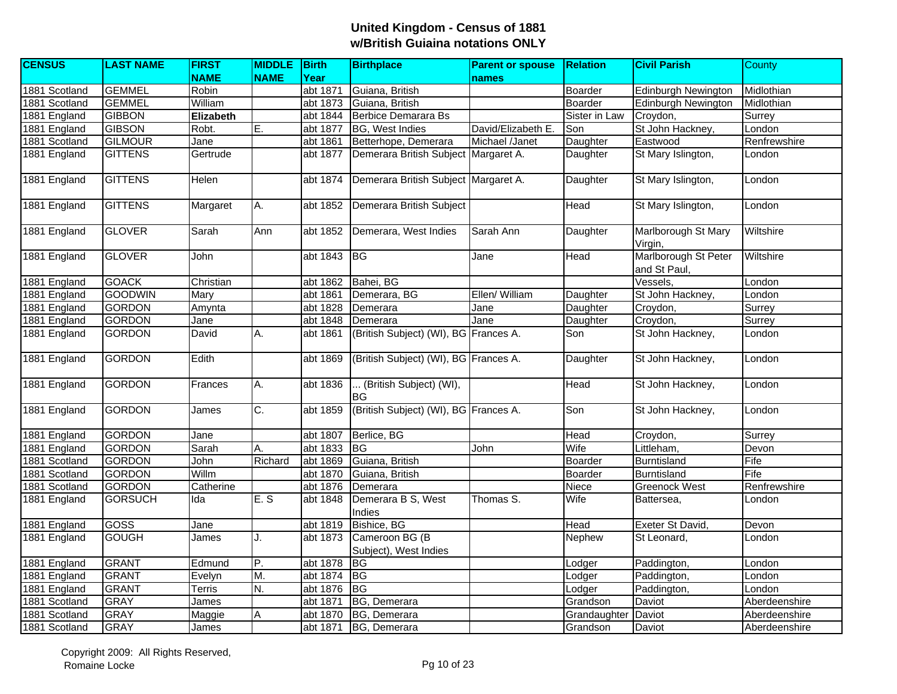| <b>CENSUS</b> | <b>LAST NAME</b> | <b>FIRST</b> | <b>MIDDLE</b> Birth |          | <b>Birthplace</b>                        | <b>Parent or spouse</b> | <b>Relation</b> | <b>Civil Parish</b>                  | <b>County</b> |
|---------------|------------------|--------------|---------------------|----------|------------------------------------------|-------------------------|-----------------|--------------------------------------|---------------|
|               |                  | <b>NAME</b>  | <b>NAME</b>         | Year     |                                          | <b>names</b>            |                 |                                      |               |
| 1881 Scotland | <b>GEMMEL</b>    | Robin        |                     | abt 1871 | Guiana, British                          |                         | Boarder         | <b>Edinburgh Newington</b>           | Midlothian    |
| 1881 Scotland | <b>GEMMEL</b>    | William      |                     | abt 1873 | Guiana, British                          |                         | Boarder         | Edinburgh Newington                  | Midlothian    |
| 1881 England  | <b>GIBBON</b>    | Elizabeth    |                     | abt 1844 | Berbice Demarara Bs                      |                         | Sister in Law   | Croydon,                             | Surrey        |
| 1881 England  | <b>GIBSON</b>    | Robt.        | E.                  | abt 1877 | <b>BG, West Indies</b>                   | David/Elizabeth E.      | Son             | St John Hackney,                     | London        |
| 1881 Scotland | <b>GILMOUR</b>   | Jane         |                     | abt 1861 | Betterhope, Demerara                     | Michael /Janet          | Daughter        | Eastwood                             | Renfrewshire  |
| 1881 England  | <b>GITTENS</b>   | Gertrude     |                     | abt 1877 | Demerara British Subject Margaret A.     |                         | Daughter        | St Mary Islington,                   | London        |
| 1881 England  | <b>GITTENS</b>   | Helen        |                     | abt 1874 | Demerara British Subject Margaret A.     |                         | Daughter        | St Mary Islington,                   | London        |
| 1881 England  | <b>GITTENS</b>   | Margaret     | А.                  | abt 1852 | Demerara British Subject                 |                         | Head            | St Mary Islington,                   | London        |
| 1881 England  | <b>GLOVER</b>    | Sarah        | Ann                 | abt 1852 | Demerara, West Indies                    | Sarah Ann               | Daughter        | Marlborough St Mary<br>Virgin,       | Wiltshire     |
| 1881 England  | <b>GLOVER</b>    | John         |                     | abt 1843 | BG                                       | Jane                    | Head            | Marlborough St Peter<br>and St Paul, | Wiltshire     |
| 1881 England  | <b>GOACK</b>     | Christian    |                     | abt 1862 | Bahei, BG                                |                         |                 | Vessels,                             | London        |
| 1881 England  | <b>GOODWIN</b>   | Mary         |                     | abt 1861 | Demerara, BG                             | Ellen/ William          | Daughter        | St John Hackney,                     | London        |
| 1881 England  | <b>GORDON</b>    | Amynta       |                     | abt 1828 | Demerara                                 | Jane                    | Daughter        | Croydon,                             | Surrey        |
| 1881 England  | <b>GORDON</b>    | Jane         |                     | abt 1848 | Demerara                                 | Jane                    | Daughter        | Croydon,                             | Surrey        |
| 1881 England  | <b>GORDON</b>    | David        | А.                  | abt 1861 | (British Subject) (WI), BG Frances A.    |                         | Son             | St John Hackney,                     | London        |
| 1881 England  | <b>GORDON</b>    | Edith        |                     | abt 1869 | (British Subject) (WI), BG Frances A.    |                         | Daughter        | St John Hackney,                     | London        |
| 1881 England  | <b>GORDON</b>    | Frances      | Α.                  | abt 1836 | (British Subject) (WI),<br> BG           |                         | <b>Head</b>     | St John Hackney,                     | London        |
| 1881 England  | <b>GORDON</b>    | James        | C.                  | abt 1859 | (British Subject) (WI), BG Frances A.    |                         | Son             | St John Hackney,                     | London        |
| 1881 England  | <b>GORDON</b>    | Jane         |                     | abt 1807 | Berlice, BG                              |                         | Head            | Croydon,                             | Surrey        |
| 1881 England  | <b>GORDON</b>    | Sarah        | Α.                  | abt 1833 | <b>BG</b>                                | John                    | Wife            | Littleham,                           | Devon         |
| 1881 Scotland | <b>GORDON</b>    | John         | Richard             | abt 1869 | Guiana, British                          |                         | Boarder         | <b>Burntisland</b>                   | Fife          |
| 1881 Scotland | <b>GORDON</b>    | Willm        |                     | abt 1870 | Guiana, British                          |                         | Boarder         | <b>Burntisland</b>                   | Fife          |
| 1881 Scotland | <b>GORDON</b>    | Catherine    |                     | abt 1876 | Demerara                                 |                         | Niece           | <b>Greenock West</b>                 | Renfrewshire  |
| 1881 England  | <b>GORSUCH</b>   | Ida          | E.S                 | abt 1848 | Demerara B S, West<br>Indies             | Thomas S.               | Wife            | Battersea,                           | London        |
| 1881 England  | <b>GOSS</b>      | Jane         |                     | abt 1819 | Bishice, BG                              |                         | Head            | Exeter St David,                     | Devon         |
| 1881 England  | <b>GOUGH</b>     | James        | J.                  | abt 1873 | Cameroon BG (B)<br>Subject), West Indies |                         | Nephew          | St Leonard,                          | London        |
| 1881 England  | <b>GRANT</b>     | Edmund       | P.                  | abt 1878 | IBG                                      |                         | Lodger          | Paddington,                          | London        |
| 1881 England  | <b>GRANT</b>     | Evelyn       | M.                  | abt 1874 | BG                                       |                         | Lodger          | Paddington,                          | London        |
| 1881 England  | <b>GRANT</b>     | Terris       | N.                  | abt 1876 | <b>BG</b>                                |                         | Lodger          | Paddington,                          | London        |
| 1881 Scotland | <b>GRAY</b>      | James        |                     | abt 1871 | BG, Demerara                             |                         | Grandson        | Daviot                               | Aberdeenshire |
| 1881 Scotland | <b>GRAY</b>      | Maggie       | Α                   | abt 1870 | BG, Demerara                             |                         | Grandaughter    | Daviot                               | Aberdeenshire |
| 1881 Scotland | <b>GRAY</b>      | James        |                     | abt 1871 | BG, Demerara                             |                         | Grandson        | Daviot                               | Aberdeenshire |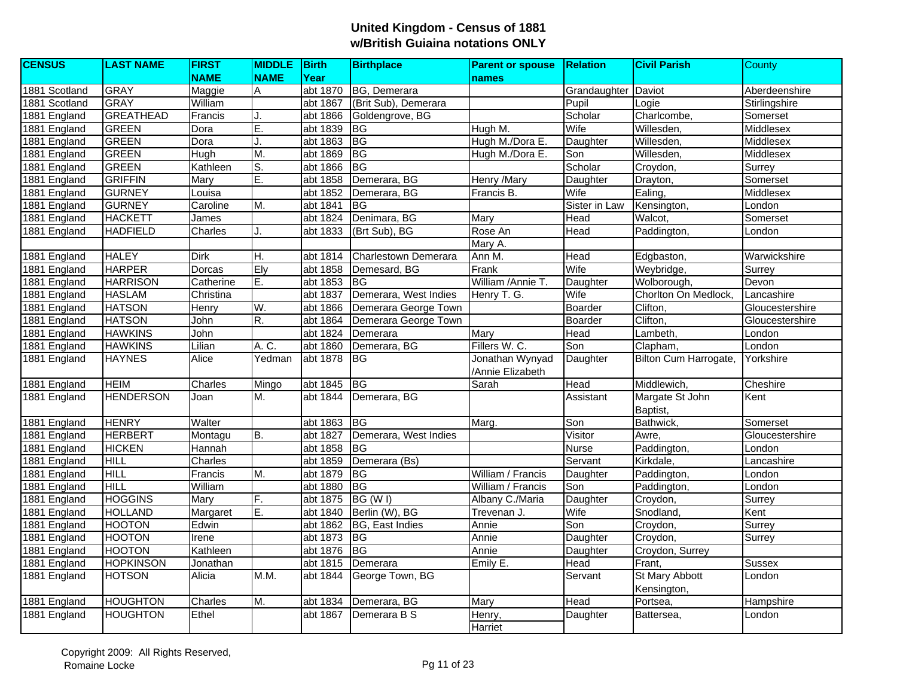| <b>CENSUS</b> | <b>LAST NAME</b> | <b>FIRST</b> | <b>MIDDLE</b> | Birth    | <b>Birthplace</b>     | <b>Parent or spouse</b> | <b>Relation</b>     | <b>Civil Parish</b>   | County          |
|---------------|------------------|--------------|---------------|----------|-----------------------|-------------------------|---------------------|-----------------------|-----------------|
|               |                  | <b>NAME</b>  | <b>NAME</b>   | Year     |                       | names                   |                     |                       |                 |
| 1881 Scotland | <b>GRAY</b>      | Maggie       | A             | abt 1870 | BG, Demerara          |                         | Grandaughter Daviot |                       | Aberdeenshire   |
| 1881 Scotland | <b>GRAY</b>      | William      |               | abt 1867 | (Brit Sub), Demerara  |                         | Pupil               | Logie                 | Stirlingshire   |
| 1881 England  | <b>GREATHEAD</b> | Francis      |               | abt 1866 | Goldengrove, BG       |                         | Scholar             | Charlcombe,           | Somerset        |
| 1881 England  | <b>GREEN</b>     | Dora         | E.            | abt 1839 | <b>IBG</b>            | Hugh M.                 | Wife                | Willesden.            | Middlesex       |
| 1881 England  | <b>GREEN</b>     | Dora         | J.            | abt 1863 | BG                    | Hugh M./Dora E.         | Daughter            | Willesden,            | Middlesex       |
| 1881 England  | <b>GREEN</b>     | Hugh         | M.            | abt 1869 | <b>BG</b>             | Hugh M./Dora E.         | Son                 | Willesden,            | Middlesex       |
| 1881 England  | <b>GREEN</b>     | Kathleen     | S.            | abt 1866 | <b>BG</b>             |                         | Scholar             | Croydon,              | Surrey          |
| 1881 England  | <b>GRIFFIN</b>   | Mary         | Ē.            | abt 1858 | Demerara, BG          | Henry /Mary             | Daughter            | Drayton,              | Somerset        |
| 1881 England  | <b>GURNEY</b>    | Louisa       |               | abt 1852 | Demerara, BG          | Francis B.              | Wife                | Ealing,               | Middlesex       |
| 1881 England  | <b>GURNEY</b>    | Caroline     | M.            | abt 1841 | <b>I</b> BG           |                         | Sister in Law       | Kensington,           | London          |
| 1881 England  | <b>HACKETT</b>   | James        |               | abt 1824 | Denimara, BG          | Mary                    | Head                | Walcot,               | Somerset        |
| 1881 England  | <b>HADFIELD</b>  | Charles      |               | abt 1833 | (Brt Sub), BG         | Rose An                 | Head                | Paddington,           | London          |
|               |                  |              |               |          |                       | Mary A.                 |                     |                       |                 |
| 1881 England  | <b>HALEY</b>     | <b>Dirk</b>  | Η.            | abt 1814 | Charlestown Demerara  | Ann M.                  | Head                | Edgbaston,            | Warwickshire    |
| 1881 England  | <b>HARPER</b>    | Dorcas       | Ely           | abt 1858 | Demesard, BG          | Frank                   | Wife                | Weybridge,            | Surrey          |
| 1881 England  | <b>HARRISON</b>  | Catherine    | E.            | abt 1853 | IBG.                  | William /Annie T.       | Daughter            | Wolborough,           | Devon           |
| 1881 England  | <b>HASLAM</b>    | Christina    |               | abt 1837 | Demerara, West Indies | Henry T. G.             | Wife                | Chorlton On Medlock,  | Lancashire      |
| 1881 England  | <b>HATSON</b>    | Henry        | W.            | abt 1866 | Demerara George Town  |                         | Boarder             | Clifton,              | Gloucestershire |
| 1881 England  | <b>HATSON</b>    | John         | R.            | abt 1864 | Demerara George Town  |                         | <b>Boarder</b>      | Clifton,              | Gloucestershire |
| 1881 England  | <b>HAWKINS</b>   | John         |               | abt 1824 | Demerara              | Mary                    | Head                | Lambeth,              | London          |
| 1881 England  | <b>HAWKINS</b>   | Lilian       | A. C.         | abt 1860 | Demerara, BG          | Fillers W. C.           | Son                 | Clapham,              | London          |
| 1881 England  | <b>HAYNES</b>    | <b>Alice</b> | Yedman        | abt 1878 | <b>IBG</b>            | Jonathan Wynyad         | Daughter            | Bilton Cum Harrogate, | Yorkshire       |
|               |                  |              |               |          |                       | /Annie Elizabeth        |                     |                       |                 |
| 1881 England  | <b>HEIM</b>      | Charles      | Mingo         | abt 1845 | <b>BG</b>             | Sarah                   | Head                | Middlewich.           | Cheshire        |
| 1881 England  | <b>HENDERSON</b> | Joan         | M.            | abt 1844 | Demerara, BG          |                         | Assistant           | Margate St John       | Kent            |
|               |                  |              |               |          |                       |                         |                     | Baptist,              |                 |
| 1881 England  | <b>HENRY</b>     | Walter       |               | abt 1863 | <b>BG</b>             | Marg.                   | Son                 | Bathwick,             | Somerset        |
| 1881 England  | <b>HERBERT</b>   | Montagu      | B.            | abt 1827 | Demerara, West Indies |                         | Visitor             | Awre,                 | Gloucestershire |
| 1881 England  | <b>HICKEN</b>    | Hannah       |               | abt 1858 | <b>BG</b>             |                         | <b>Nurse</b>        | Paddington,           | London          |
| 1881 England  | <b>HILL</b>      | Charles      |               | abt 1859 | Demerara (Bs)         |                         | Servant             | Kirkdale.             | Lancashire      |
| 1881 England  | HILL             | Francis      | M.            | abt 1879 | $\overline{B}$        | William / Francis       | Daughter            | Paddington,           | London          |
| 1881 England  | <b>HILL</b>      | William      |               | abt 1880 | <b>BG</b>             | William / Francis       | Son                 | Paddington,           | London          |
| 1881 England  | <b>HOGGINS</b>   | Mary         | F.            | abt 1875 | BG (W I)              | Albany C./Maria         | Daughter            | Croydon,              | Surrey          |
| 1881 England  | <b>HOLLAND</b>   | Margaret     | Ē.            | abt 1840 | Berlin (W), BG        | Trevenan J.             | Wife                | Snodland,             | Kent            |
| 1881 England  | <b>HOOTON</b>    | Edwin        |               | abt 1862 | BG, East Indies       | Annie                   | Son                 | Croydon,              | Surrey          |
| 1881 England  | <b>HOOTON</b>    | Irene        |               | abt 1873 | BG                    | Annie                   | Daughter            | Croydon,              | Surrey          |
| 1881 England  | <b>HOOTON</b>    | Kathleen     |               | abt 1876 | <b>BG</b>             | Annie                   | Daughter            | Croydon, Surrey       |                 |
| 1881 England  | <b>HOPKINSON</b> | Jonathan     |               | abt 1815 | Demerara              | Emily E.                | Head                | Frant,                | <b>Sussex</b>   |
| 1881 England  | <b>HOTSON</b>    | Alicia       | M.M.          | abt 1844 | George Town, BG       |                         | Servant             | St Mary Abbott        | London          |
|               |                  |              |               |          |                       |                         |                     | Kensington,           |                 |
| 1881 England  | <b>HOUGHTON</b>  | Charles      | М.            | abt 1834 | Demerara, BG          | Mary                    | Head                | Portsea,              | Hampshire       |
| 1881 England  | <b>HOUGHTON</b>  | Ethel        |               | abt 1867 | Demerara B S          | Henry,                  | Daughter            | Battersea,            | London          |
|               |                  |              |               |          |                       | Harriet                 |                     |                       |                 |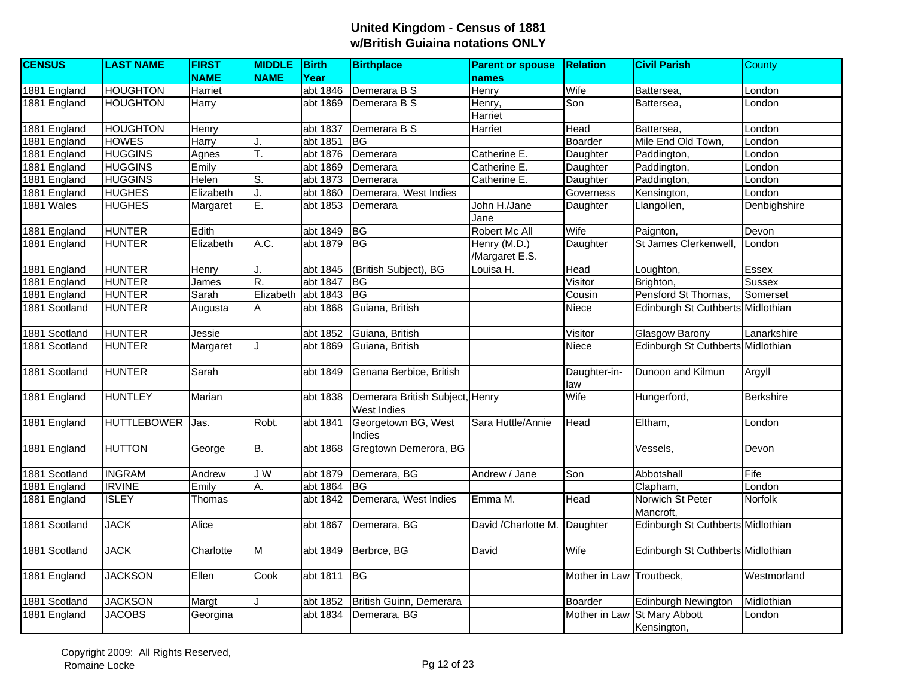| <b>CENSUS</b> | <b>LAST NAME</b>   | <b>FIRST</b>   | <b>MIDDLE</b> | Birth    | <b>Birthplace</b>               | <b>Parent or spouse</b> | <b>Relation</b>          | <b>Civil Parish</b>               | County           |
|---------------|--------------------|----------------|---------------|----------|---------------------------------|-------------------------|--------------------------|-----------------------------------|------------------|
|               |                    | <b>NAME</b>    | <b>NAME</b>   | Year     |                                 | names                   |                          |                                   |                  |
| 1881 England  | <b>HOUGHTON</b>    | <b>Harriet</b> |               | abt 1846 | Demerara B S                    | <b>Henry</b>            | Wife                     | Battersea,                        | London           |
| 1881 England  | <b>HOUGHTON</b>    | <b>Harry</b>   |               | abt 1869 | Demerara B S                    | Henry,                  | Son                      | Battersea,                        | London           |
|               |                    |                |               |          |                                 | Harriet                 |                          |                                   |                  |
| 1881 England  | <b>HOUGHTON</b>    | Henry          |               | abt 1837 | Demerara B S                    | Harriet                 | Head                     | Battersea.                        | London           |
| 1881 England  | <b>HOWES</b>       | Harry          | J.            | abt 1851 | IBG.                            |                         | Boarder                  | Mile End Old Town,                | London           |
| 1881 England  | <b>HUGGINS</b>     | Agnes          | Τ.            | abt 1876 | Demerara                        | Catherine E.            | Daughter                 | Paddington,                       | London           |
| 1881 England  | <b>HUGGINS</b>     | Emily          |               | abt 1869 | Demerara                        | Catherine E.            | Daughter                 | Paddington,                       | London           |
| 1881 England  | <b>HUGGINS</b>     | Helen          | S.            | abt 1873 | Demerara                        | Catherine E.            | Daughter                 | Paddington,                       | London           |
| 1881 England  | <b>HUGHES</b>      | Elizabeth      | J.            | abt 1860 | Demerara, West Indies           |                         | Governess                | Kensington,                       | London           |
| 1881 Wales    | <b>HUGHES</b>      | Margaret       | Ē.            | abt 1853 | Demerara                        | John H./Jane            | Daughter                 | Llangollen,                       | Denbighshire     |
|               |                    |                |               |          |                                 | Jane                    |                          |                                   |                  |
| 1881 England  | <b>HUNTER</b>      | Edith          |               | abt 1849 | BG                              | Robert Mc All           | Wife                     | Paignton,                         | Devon            |
| 1881 England  | <b>HUNTER</b>      | Elizabeth      | A.C.          | abt 1879 | <b>BG</b>                       | Henry (M.D.)            | Daughter                 | St James Clerkenwell,             | London           |
|               |                    |                |               |          |                                 | /Margaret E.S.          |                          |                                   |                  |
| 1881 England  | <b>HUNTER</b>      | Henry          |               | abt 1845 | (British Subject), BG           | Louisa H.               | Head                     | Loughton,                         | Essex            |
| 1881 England  | <b>HUNTER</b>      | James          | R.            | abt 1847 | IBG.                            |                         | Visitor                  | Brighton,                         | <b>Sussex</b>    |
| 1881 England  | <b>HUNTER</b>      | Sarah          | Elizabeth     | abt 1843 | <b>BG</b>                       |                         | Cousin                   | Pensford St Thomas,               | Somerset         |
| 1881 Scotland | <b>HUNTER</b>      | Augusta        | A             | abt 1868 | Guiana, British                 |                         | Niece                    | Edinburgh St Cuthberts Midlothian |                  |
|               |                    |                |               |          |                                 |                         |                          |                                   |                  |
| 1881 Scotland | <b>HUNTER</b>      | Jessie         |               | abt 1852 | Guiana, British                 |                         | Visitor                  | <b>Glasgow Barony</b>             | Lanarkshire      |
| 1881 Scotland | <b>HUNTER</b>      | Margaret       | J             | abt 1869 | Guiana, British                 |                         | Niece                    | Edinburgh St Cuthberts Midlothian |                  |
|               |                    |                |               |          |                                 |                         |                          |                                   |                  |
| 1881 Scotland | <b>HUNTER</b>      | Sarah          |               | abt 1849 | Genana Berbice, British         |                         | Daughter-in-             | Dunoon and Kilmun                 | Argyll           |
|               |                    |                |               |          |                                 |                         | law                      |                                   |                  |
| 1881 England  | <b>HUNTLEY</b>     | Marian         |               | abt 1838 | Demerara British Subject, Henry |                         | Wife                     | Hungerford,                       | <b>Berkshire</b> |
|               |                    |                |               |          | West Indies                     |                         |                          |                                   |                  |
| 1881 England  | <b>HUTTLEBOWER</b> | Jas.           | Robt.         | abt 1841 | Georgetown BG, West             | Sara Huttle/Annie       | Head                     | Eltham.                           | London           |
|               |                    |                |               |          | Indies                          |                         |                          |                                   |                  |
| 1881 England  | <b>HUTTON</b>      | George         | B.            | abt 1868 | Gregtown Demerora, BG           |                         |                          | Vessels,                          | Devon            |
|               |                    |                |               |          |                                 |                         |                          |                                   |                  |
| 1881 Scotland | <b>INGRAM</b>      | Andrew         | J W           | abt 1879 | Demerara, BG                    | Andrew / Jane           | Son                      | Abbotshall                        | Fife             |
| 1881 England  | <b>IRVINE</b>      | Emily          | Α.            | abt 1864 | <b>BG</b>                       |                         |                          | Clapham,                          | London           |
| 1881 England  | <b>ISLEY</b>       | Thomas         |               | abt 1842 | Demerara, West Indies           | Emma M.                 | Head                     | Norwich St Peter                  | <b>Norfolk</b>   |
|               |                    |                |               |          |                                 |                         |                          | Mancroft.                         |                  |
| 1881 Scotland | <b>JACK</b>        | Alice          |               | abt 1867 | Demerara, BG                    | David / Charlotte M.    | Daughter                 | Edinburgh St Cuthberts Midlothian |                  |
|               |                    |                |               |          |                                 |                         |                          |                                   |                  |
| 1881 Scotland | <b>JACK</b>        | Charlotte      | M             | abt 1849 | Berbrce, BG                     | David                   | Wife                     | Edinburgh St Cuthberts Midlothian |                  |
|               |                    |                |               |          |                                 |                         |                          |                                   |                  |
| 1881 England  | <b>JACKSON</b>     | Ellen          | Cook          | abt 1811 | <b>BG</b>                       |                         | Mother in Law Troutbeck, |                                   | Westmorland      |
|               |                    |                |               |          |                                 |                         |                          |                                   |                  |
| 1881 Scotland | <b>JACKSON</b>     | Margt          |               | abt 1852 | British Guinn, Demerara         |                         | Boarder                  | Edinburgh Newington               | Midlothian       |
| 1881 England  | <b>JACOBS</b>      | Georgina       |               | abt 1834 | Demerara, BG                    |                         |                          | Mother in Law St Mary Abbott      | London           |
|               |                    |                |               |          |                                 |                         |                          | Kensington,                       |                  |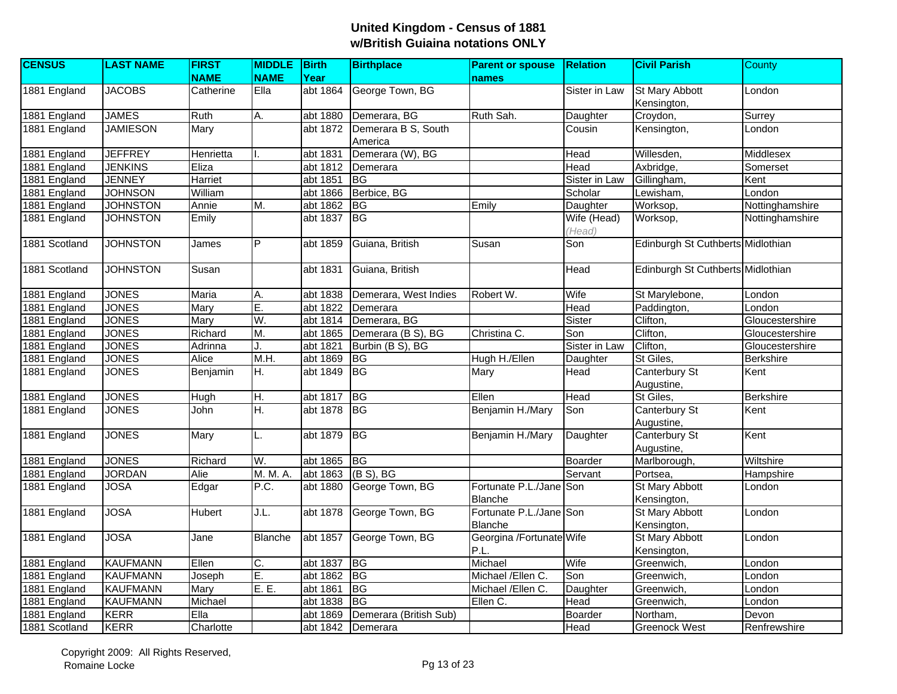| <b>CENSUS</b> | <b>LAST NAME</b> | <b>FIRST</b>  | <b>MIDDLE</b>           | Birth       | <b>Birthplace</b>              | <b>Parent or spouse</b>                   | <b>Relation</b>       | <b>Civil Parish</b>                  | County           |
|---------------|------------------|---------------|-------------------------|-------------|--------------------------------|-------------------------------------------|-----------------------|--------------------------------------|------------------|
|               |                  | <b>NAME</b>   | <b>NAME</b>             | Year        |                                | names                                     |                       |                                      |                  |
| 1881 England  | <b>JACOBS</b>    | Catherine     | Ella                    | abt 1864    | George Town, BG                |                                           | Sister in Law         | <b>St Mary Abbott</b><br>Kensington, | London           |
| 1881 England  | <b>JAMES</b>     | Ruth          | Α.                      | abt 1880    | Demerara, BG                   | Ruth Sah.                                 | Daughter              | Croydon,                             | Surrey           |
| 1881 England  | <b>JAMIESON</b>  | Mary          |                         | abt 1872    | Demerara B S, South<br>America |                                           | Cousin                | Kensington,                          | London           |
| 1881 England  | <b>JEFFREY</b>   | Henrietta     |                         | abt 1831    | Demerara (W), BG               |                                           | Head                  | Willesden,                           | Middlesex        |
| 1881 England  | <b>JENKINS</b>   | Eliza         |                         | abt 1812    | Demerara                       |                                           | Head                  | Axbridge,                            | Somerset         |
| 1881 England  | <b>JENNEY</b>    | Harriet       |                         | abt 1851    | <b>BG</b>                      |                                           | Sister in Law         | Gillingham,                          | Kent             |
| 1881 England  | <b>JOHNSON</b>   | William       |                         | abt 1866    | Berbice, BG                    |                                           | Scholar               | Lewisham,                            | London           |
| 1881 England  | <b>JOHNSTON</b>  | Annie         | M.                      | abt 1862    | <b>IBG</b>                     | Emily                                     | Daughter              | Worksop,                             | Nottinghamshire  |
| 1881 England  | <b>JOHNSTON</b>  | Emily         |                         | abt 1837    | BG                             |                                           | Wife (Head)<br>(Head) | Worksop,                             | Nottinghamshire  |
| 1881 Scotland | <b>JOHNSTON</b>  | James         | $\overline{\mathsf{P}}$ | abt 1859    | Guiana, British                | Susan                                     | Son                   | Edinburgh St Cuthberts Midlothian    |                  |
| 1881 Scotland | <b>JOHNSTON</b>  | Susan         |                         | abt 1831    | Guiana, British                |                                           | Head                  | Edinburgh St Cuthberts Midlothian    |                  |
| 1881 England  | <b>JONES</b>     | Maria         | A.                      | abt 1838    | Demerara, West Indies          | Robert W.                                 | Wife                  | St Marylebone,                       | London           |
| 1881 England  | <b>JONES</b>     | Mary          | E.                      | abt 1822    | Demerara                       |                                           | Head                  | Paddington,                          | London           |
| 1881 England  | <b>JONES</b>     | Mary          | W.                      | abt 1814    | Demerara, BG                   |                                           | Sister                | Clifton,                             | Gloucestershire  |
| 1881 England  | <b>JONES</b>     | Richard       | M.                      | abt 1865    | Demerara (B S), BG             | Christina C.                              | Son                   | Clifton,                             | Gloucestershire  |
| 1881 England  | <b>JONES</b>     | Adrinna       |                         | abt 1821    | Burbin (B S), BG               |                                           | Sister in Law         | Clifton,                             | Gloucestershire  |
| 1881 England  | <b>JONES</b>     | Alice         | M.H.                    | abt 1869    | <b>BG</b>                      | Hugh H./Ellen                             | Daughter              | St Giles,                            | <b>Berkshire</b> |
| 1881 England  | <b>JONES</b>     | Benjamin      | H.                      | abt 1849    | BG                             | Mary                                      | Head                  | Canterbury St<br>Augustine,          | Kent             |
| 1881 England  | <b>JONES</b>     | Hugh          | H.                      | abt 1817    | BG                             | Ellen                                     | Head                  | St Giles,                            | <b>Berkshire</b> |
| 1881 England  | <b>JONES</b>     | John          | H.                      | abt 1878    | <b>BG</b>                      | Benjamin H./Mary                          | Son                   | Canterbury St<br>Augustine,          | Kent             |
| 1881 England  | <b>JONES</b>     | Mary          | L.                      | abt 1879    | <b>BG</b>                      | Benjamin H./Mary                          | Daughter              | Canterbury St<br>Augustine,          | Kent             |
| 1881 England  | <b>JONES</b>     | Richard       | W.                      | abt 1865 BG |                                |                                           | Boarder               | Marlborough,                         | Wiltshire        |
| 1881 England  | <b>JORDAN</b>    | Alie          | M. M. A.                | abt 1863    | $(B S)$ , BG                   |                                           | Servant               | Portsea,                             | Hampshire        |
| 1881 England  | <b>JOSA</b>      | Edgar         | P.C.                    | abt 1880    | George Town, BG                | Fortunate P.L./Jane Son<br><b>Blanche</b> |                       | St Mary Abbott<br>Kensington,        | London           |
| 1881 England  | <b>JOSA</b>      | <b>Hubert</b> | J.L.                    | abt 1878    | George Town, BG                | Fortunate P.L./Jane Son<br>Blanche        |                       | St Mary Abbott<br>Kensington,        | London           |
| 1881 England  | <b>JOSA</b>      | Jane          | <b>Blanche</b>          | abt 1857    | George Town, BG                | Georgina /Fortunate Wife<br>P.L.          |                       | St Mary Abbott<br>Kensington,        | London           |
| 1881 England  | <b>KAUFMANN</b>  | Ellen         | C.                      | abt 1837    | B                              | Michael                                   | Wife                  | Greenwich,                           | London           |
| 1881 England  | <b>KAUFMANN</b>  | Joseph        | E.                      | abt 1862    | BG                             | Michael /Ellen C.                         | Son                   | Greenwich,                           | London           |
| 1881 England  | <b>KAUFMANN</b>  | Mary          | E.E.                    | abt 1861    | $\overline{B}$                 | Michael /Ellen C.                         | Daughter              | Greenwich,                           | London           |
| 1881 England  | <b>KAUFMANN</b>  | Michael       |                         | abt 1838    | <b>BG</b>                      | Ellen C.                                  | Head                  | Greenwich,                           | London           |
| 1881 England  | <b>KERR</b>      | Ella          |                         | abt 1869    | Demerara (British Sub)         |                                           | Boarder               | Northam,                             | Devon            |
| 1881 Scotland | <b>KERR</b>      | Charlotte     |                         | abt $1842$  | Demerara                       |                                           | Head                  | <b>Greenock West</b>                 | Renfrewshire     |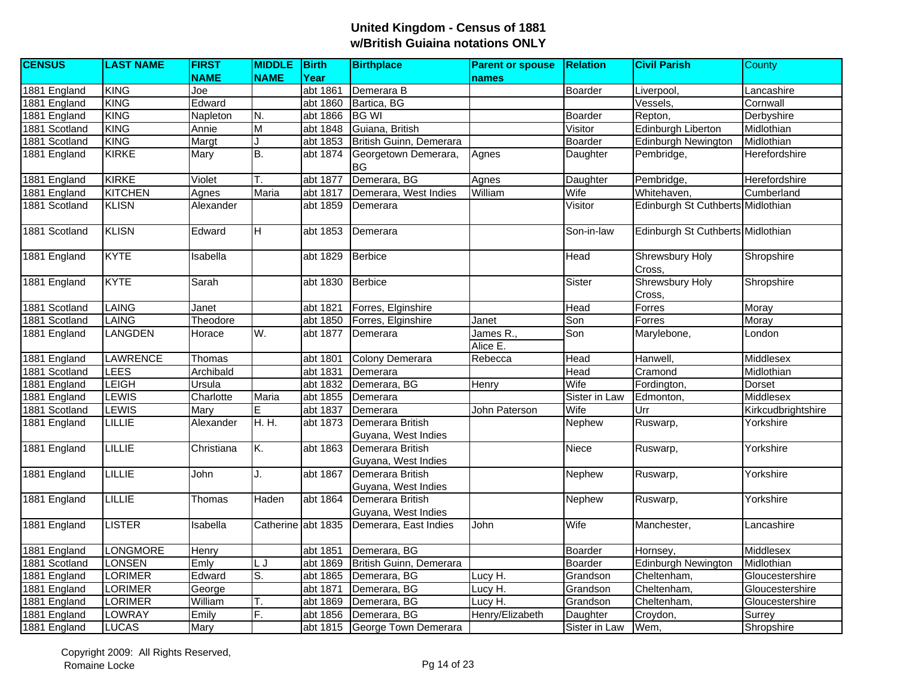| <b>CENSUS</b> | <b>LAST NAME</b> | <b>FIRST</b> | <b>MIDDLE</b> Birth |          | <b>Birthplace</b>                       | <b>Parent or spouse</b> | <b>Relation</b> | <b>Civil Parish</b>               | <b>County</b>      |
|---------------|------------------|--------------|---------------------|----------|-----------------------------------------|-------------------------|-----------------|-----------------------------------|--------------------|
|               |                  | <b>NAME</b>  | <b>NAME</b>         | Year     |                                         | names                   |                 |                                   |                    |
| 1881 England  | <b>KING</b>      | Joe          |                     | abt 1861 | Demerara B                              |                         | Boarder         | Liverpool,                        | Lancashire         |
| 1881 England  | <b>KING</b>      | Edward       |                     | abt 1860 | Bartica, BG                             |                         |                 | Vessels,                          | Cornwall           |
| 1881 England  | <b>KING</b>      | Napleton     | N.                  | abt 1866 | <b>BG WI</b>                            |                         | Boarder         | Repton,                           | Derbyshire         |
| 1881 Scotland | <b>KING</b>      | Annie        | M                   | abt 1848 | Guiana, British                         |                         | Visitor         | Edinburgh Liberton                | Midlothian         |
| 1881 Scotland | <b>KING</b>      | Margt        |                     | abt 1853 | British Guinn, Demerara                 |                         | Boarder         | <b>Edinburgh Newington</b>        | Midlothian         |
| 1881 England  | <b>KIRKE</b>     | Mary         | B.                  | abt 1874 | Georgetown Demerara,<br><b>BG</b>       | Agnes                   | Daughter        | Pembridge,                        | Herefordshire      |
| 1881 England  | <b>KIRKE</b>     | Violet       | T.                  | abt 1877 | Demerara, BG                            | Agnes                   | Daughter        | Pembridge,                        | Herefordshire      |
| 1881 England  | <b>KITCHEN</b>   | Agnes        | Maria               | abt 1817 | Demerara, West Indies                   | William                 | Wife            | Whitehaven,                       | Cumberland         |
| 1881 Scotland | <b>KLISN</b>     | Alexander    |                     | abt 1859 | Demerara                                |                         | Visitor         | Edinburgh St Cuthberts Midlothian |                    |
| 1881 Scotland | <b>KLISN</b>     | Edward       | H                   | abt 1853 | Demerara                                |                         | Son-in-law      | Edinburgh St Cuthberts Midlothian |                    |
| 1881 England  | <b>KYTE</b>      | Isabella     |                     | abt 1829 | Berbice                                 |                         | Head            | <b>Shrewsbury Holy</b><br>Cross,  | Shropshire         |
| 1881 England  | <b>KYTE</b>      | Sarah        |                     | abt 1830 | Berbice                                 |                         | Sister          | <b>Shrewsbury Holy</b><br>Cross,  | Shropshire         |
| 1881 Scotland | <b>LAING</b>     | Janet        |                     | abt 1821 | Forres, Elginshire                      |                         | Head            | Forres                            | Moray              |
| 1881 Scotland | <b>LAING</b>     | Theodore     |                     | abt 1850 | Forres, Elginshire                      | Janet                   | Son             | Forres                            | Moray              |
| 1881 England  | <b>LANGDEN</b>   | Horace       | W.                  | abt 1877 | Demerara                                | James R.,<br>Alice E.   | Son             | Marylebone,                       | London             |
| 1881 England  | LAWRENCE         | Thomas       |                     | abt 1801 | <b>Colony Demerara</b>                  | Rebecca                 | Head            | Hanwell,                          | Middlesex          |
| 1881 Scotland | <b>LEES</b>      | Archibald    |                     | abt 1831 | Demerara                                |                         | Head            | Cramond                           | Midlothian         |
| 1881 England  | LEIGH            | Ursula       |                     | abt 1832 | Demerara, BG                            | Henry                   | Wife            | Fordington,                       | <b>Dorset</b>      |
| 1881 England  | <b>LEWIS</b>     | Charlotte    | <b>Maria</b>        | abt 1855 | Demerara                                |                         | Sister in Law   | Edmonton,                         | Middlesex          |
| 1881 Scotland | <b>LEWIS</b>     | Mary         | E                   | abt 1837 | Demerara                                | John Paterson           | Wife            | Urr                               | Kirkcudbrightshire |
| 1881 England  | <b>LILLIE</b>    | Alexander    | H. H.               | abt 1873 | Demerara British<br>Guyana, West Indies |                         | Nephew          | Ruswarp,                          | Yorkshire          |
| 1881 England  | <b>LILLIE</b>    | Christiana   | K.                  | abt 1863 | Demerara British<br>Guyana, West Indies |                         | Niece           | Ruswarp,                          | Yorkshire          |
| 1881 England  | <b>LILLIE</b>    | John         | J.                  | abt 1867 | Demerara British<br>Guyana, West Indies |                         | Nephew          | Ruswarp,                          | Yorkshire          |
| 1881 England  | <b>LILLIE</b>    | Thomas       | Haden               | abt 1864 | Demerara British<br>Guyana, West Indies |                         | Nephew          | Ruswarp,                          | Yorkshire          |
| 1881 England  | <b>LISTER</b>    | Isabella     | Catherine           | abt 1835 | Demerara, East Indies                   | John                    | Wife            | Manchester,                       | Lancashire         |
| 1881 England  | <b>LONGMORE</b>  | Henry        |                     | abt 1851 | Demerara, BG                            |                         | <b>Boarder</b>  | Hornsey,                          | Middlesex          |
| 1881 Scotland | <b>LONSEN</b>    | Emly         | LJ                  | abt 1869 | British Guinn, Demerara                 |                         | Boarder         | <b>Edinburgh Newington</b>        | Midlothian         |
| 1881 England  | <b>LORIMER</b>   | Edward       | S.                  | abt 1865 | Demerara, BG                            | Lucy H.                 | Grandson        | Cheltenham,                       | Gloucestershire    |
| 1881 England  | <b>LORIMER</b>   | George       |                     | abt 1871 | Demerara, BG                            | Lucy H.                 | Grandson        | Cheltenham,                       | Gloucestershire    |
| 1881 England  | <b>LORIMER</b>   | William      | Τ.                  | abt 1869 | Demerara, BG                            | Lucy H.                 | Grandson        | Cheltenham,                       | Gloucestershire    |
| 1881 England  | LOWRAY           | Emily        | F.                  | abt 1856 | Demerara, BG                            | Henry/Elizabeth         | Daughter        | Croydon,                          | Surrey             |
| 1881 England  | <b>LUCAS</b>     | Mary         |                     |          | abt 1815 George Town Demerara           |                         | Sister in Law   | Wem,                              | Shropshire         |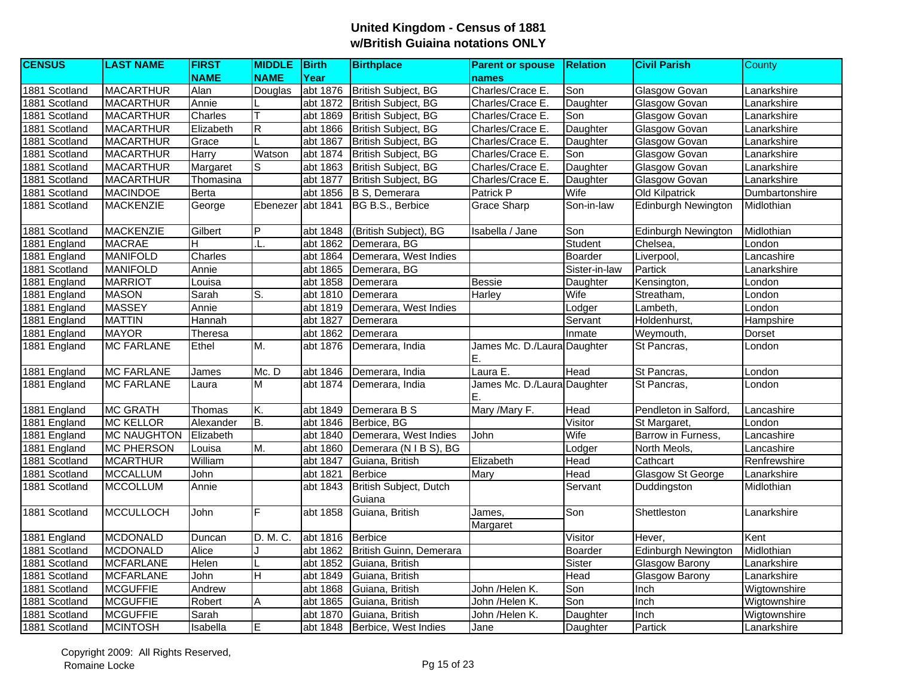| <b>CENSUS</b> | <b>LAST NAME</b>   | <b>FIRST</b> | <b>MIDDLE</b>  | Birth    | <b>Birthplace</b>                | <b>Parent or spouse</b>           | <b>Relation</b> | <b>Civil Parish</b>        | County         |
|---------------|--------------------|--------------|----------------|----------|----------------------------------|-----------------------------------|-----------------|----------------------------|----------------|
|               |                    | <b>NAME</b>  | <b>NAME</b>    | Year     |                                  | names                             |                 |                            |                |
| 1881 Scotland | <b>MACARTHUR</b>   | Alan         | Douglas        | abt 1876 | <b>British Subject, BG</b>       | Charles/Crace E.                  | Son             | Glasgow Govan              | Lanarkshire    |
| 1881 Scotland | <b>MACARTHUR</b>   | Annie        |                | abt 1872 | British Subject, BG              | Charles/Crace E.                  | Daughter        | Glasgow Govan              | Lanarkshire    |
| 1881 Scotland | <b>MACARTHUR</b>   | Charles      |                | abt 1869 | <b>British Subject, BG</b>       | Charles/Crace E.                  | Son             | <b>Glasgow Govan</b>       | Lanarkshire    |
| 1881 Scotland | <b>MACARTHUR</b>   | Elizabeth    | ${\sf R}$      | abt 1866 | British Subject, BG              | Charles/Crace E.                  | Daughter        | Glasgow Govan              | Lanarkshire    |
| 1881 Scotland | <b>MACARTHUR</b>   | Grace        |                | abt 1867 | British Subject, BG              | Charles/Crace E.                  | Daughter        | Glasgow Govan              | Lanarkshire    |
| 1881 Scotland | <b>MACARTHUR</b>   | Harry        | Watson         | abt 1874 | <b>British Subject, BG</b>       | Charles/Crace E.                  | Son             | Glasgow Govan              | Lanarkshire    |
| 1881 Scotland | <b>MACARTHUR</b>   | Margaret     | S              | abt 1863 | <b>British Subject, BG</b>       | Charles/Crace E.                  | Daughter        | Glasgow Govan              | Lanarkshire    |
| 1881 Scotland | <b>MACARTHUR</b>   | Thomasina    |                | abt 1877 | <b>British Subject, BG</b>       | Charles/Crace E.                  | Daughter        | <b>Glasgow Govan</b>       | Lanarkshire    |
| 1881 Scotland | <b>MACINDOE</b>    | Berta        |                | abt 1856 | B S, Demerara                    | Patrick P                         | Wife            | <b>Old Kilpatrick</b>      | Dumbartonshire |
| 1881 Scotland | <b>MACKENZIE</b>   | George       | Ebenezer       | abt 1841 | BG B.S., Berbice                 | <b>Grace Sharp</b>                | Son-in-law      | <b>Edinburgh Newington</b> | Midlothian     |
| 1881 Scotland | <b>MACKENZIE</b>   | Gilbert      | $\overline{P}$ | abt 1848 | (British Subject), BG            | Isabella / Jane                   | Son             | <b>Edinburgh Newington</b> | Midlothian     |
| 1881 England  | <b>MACRAE</b>      | н            | .L.            | abt 1862 | Demerara, BG                     |                                   | Student         | Chelsea,                   | London         |
| 1881 England  | <b>MANIFOLD</b>    | Charles      |                | abt 1864 | Demerara, West Indies            |                                   | Boarder         | Liverpool,                 | Lancashire     |
| 1881 Scotland | <b>MANIFOLD</b>    | Annie        |                | abt 1865 | Demerara, BG                     |                                   | Sister-in-law   | Partick                    | Lanarkshire    |
| 1881 England  | <b>MARRIOT</b>     | Louisa       |                | abt 1858 | Demerara                         | <b>Bessie</b>                     | Daughter        | Kensington,                | London         |
| 1881 England  | <b>MASON</b>       | Sarah        | S.             | abt 1810 | Demerara                         | Harley                            | Wife            | Streatham,                 | London         |
| 1881 England  | <b>MASSEY</b>      | Annie        |                | abt 1819 | Demerara, West Indies            |                                   | Lodger          | Lambeth.                   | London         |
| 1881 England  | <b>MATTIN</b>      | Hannah       |                | abt 1827 | Demerara                         |                                   | Servant         | Holdenhurst,               | Hampshire      |
| 1881 England  | <b>MAYOR</b>       | Theresa      |                | abt 1862 | Demerara                         |                                   | Inmate          | Weymouth,                  | Dorset         |
| 1881 England  | <b>MC FARLANE</b>  | Ethel        | M.             | abt 1876 | Demerara, India                  | James Mc. D./Laura Daughter<br>Ε. |                 | St Pancras,                | London         |
| 1881 England  | <b>MC FARLANE</b>  | James        | Mc. D          | abt 1846 | Demerara, India                  | Laura E.                          | Head            | St Pancras,                | London         |
| 1881 England  | <b>MC FARLANE</b>  | Laura        | M              | abt 1874 | Demerara, India                  | James Mc. D./Laura Daughter<br>Ε. |                 | St Pancras,                | London         |
| 1881 England  | <b>MC GRATH</b>    | Thomas       | Κ.             | abt 1849 | Demerara B S                     | Mary /Mary F.                     | Head            | Pendleton in Salford,      | Lancashire     |
| 1881 England  | <b>MC KELLOR</b>   | Alexander    | E.             | abt 1846 | Berbice, BG                      |                                   | Visitor         | St Margaret,               | London         |
| 1881 England  | <b>MC NAUGHTON</b> | Elizabeth    |                | abt 1840 | Demerara, West Indies            | John                              | Wife            | Barrow in Furness,         | Lancashire     |
| 1881 England  | <b>MC PHERSON</b>  | Louisa       | M.             | abt 1860 | Demerara (N I B S), BG           |                                   | Lodger          | North Meols,               | Lancashire     |
| 1881 Scotland | <b>MCARTHUR</b>    | William      |                | abt 1847 | Guiana, British                  | Elizabeth                         | Head            | Cathcart                   | Renfrewshire   |
| 1881 Scotland | <b>MCCALLUM</b>    | <b>John</b>  |                | abt 1821 | <b>Berbice</b>                   | Mary                              | Head            | Glasgow St George          | Lanarkshire    |
| 1881 Scotland | <b>MCCOLLUM</b>    | Annie        |                | abt 1843 | British Subject, Dutch<br>Guiana |                                   | Servant         | Duddingston                | Midlothian     |
| 1881 Scotland | <b>MCCULLOCH</b>   | John         | E              | abt 1858 | Guiana, British                  | James,<br>Margaret                | Son             | Shettleston                | Lanarkshire    |
| 1881 England  | <b>MCDONALD</b>    | Duncan       | D. M. C.       | abt 1816 | Berbice                          |                                   | Visitor         | Hever,                     | Kent           |
| 1881 Scotland | <b>MCDONALD</b>    | Alice        |                | abt 1862 | British Guinn, Demerara          |                                   | Boarder         | <b>Edinburgh Newington</b> | Midlothian     |
| 1881 Scotland | <b>MCFARLANE</b>   | Helen        |                | abt 1852 | Guiana, British                  |                                   | Sister          | Glasgow Barony             | Lanarkshire    |
| 1881 Scotland | <b>MCFARLANE</b>   | John         | H              | abt 1849 | Guiana, British                  |                                   | Head            | <b>Glasgow Barony</b>      | Lanarkshire    |
| 1881 Scotland | <b>MCGUFFIE</b>    | Andrew       |                | abt 1868 | Guiana, British                  | John /Helen K.                    | Son             | Inch                       | Wigtownshire   |
| 1881 Scotland | <b>MCGUFFIE</b>    | Robert       | Α              | abt 1865 | Guiana, British                  | John /Helen K.                    | Son             | Inch                       | Wigtownshire   |
| 1881 Scotland | <b>MCGUFFIE</b>    | Sarah        |                | abt 1870 | Guiana, British                  | John /Helen K.                    | Daughter        | Inch                       | Wigtownshire   |
| 1881 Scotland | <b>MCINTOSH</b>    | Isabella     | Е              | abt 1848 | Berbice, West Indies             | Jane                              | Daughter        | Partick                    | Lanarkshire    |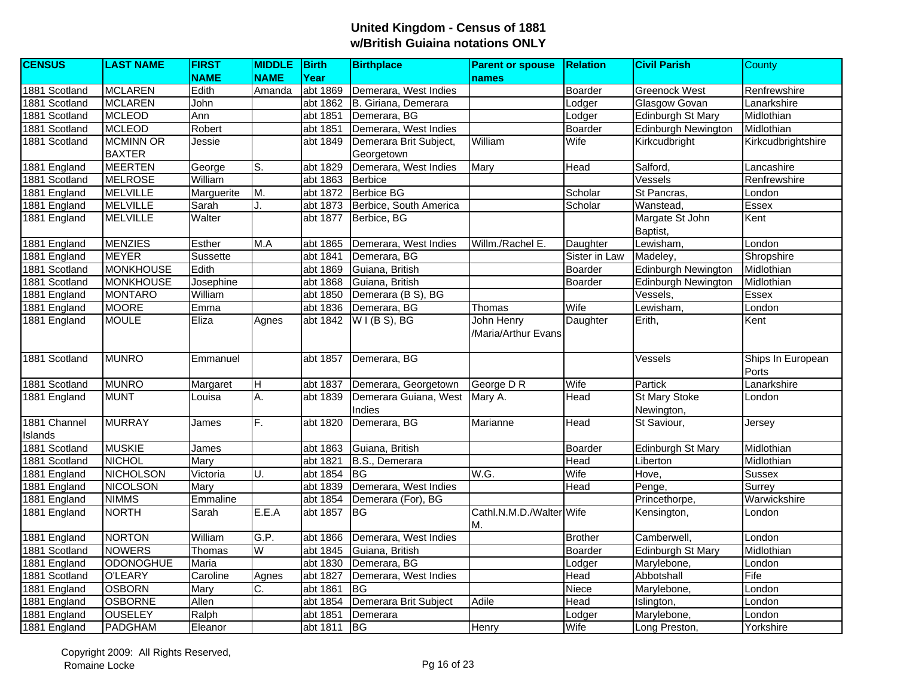| <b>CENSUS</b><br><b>LAST NAME</b><br><b>FIRST</b><br><b>MIDDLE</b><br><b>Birth</b><br><b>Birthplace</b><br><b>Relation</b><br><b>Parent or spouse</b> | <b>Civil Parish</b><br>County            |
|-------------------------------------------------------------------------------------------------------------------------------------------------------|------------------------------------------|
| <b>NAME</b><br>Year<br><b>NAME</b><br>names                                                                                                           |                                          |
| 1881 Scotland<br><b>MCLAREN</b><br>Edith<br>Demerara, West Indies<br>Boarder<br>abt 1869<br>Amanda                                                    | <b>Greenock West</b><br>Renfrewshire     |
| <b>MCLAREN</b><br>1881 Scotland<br>John<br>abt 1862<br>B. Giriana, Demerara<br>Lodger                                                                 | Glasgow Govan<br>Lanarkshire             |
| 1881 Scotland<br><b>MCLEOD</b><br>Ann<br>abt 1851<br>Demerara, BG<br>Lodger                                                                           | Edinburgh St Mary<br>Midlothian          |
| 1881 Scotland<br>Robert<br><b>MCLEOD</b><br>abt 1851<br>Demerara, West Indies<br>Boarder                                                              | Edinburgh Newington<br>Midlothian        |
| <b>MCMINN OR</b><br>William<br>1881 Scotland<br>Jessie<br>abt 1849<br>Demerara Brit Subject,<br>Wife<br>Kirkcudbright                                 | Kirkcudbrightshire                       |
| <b>BAXTER</b><br>Georgetown                                                                                                                           |                                          |
| 1881 England<br>Salford,<br><b>MEERTEN</b><br>George<br>S.<br>abt 1829<br>Demerara, West Indies<br>Mary<br>Head                                       | Lancashire                               |
| <b>MELROSE</b><br>William<br>Vessels<br>1881 Scotland<br>abt 1863<br><b>Berbice</b>                                                                   | Renfrewshire                             |
| 1881 England<br><b>MELVILLE</b><br>M.<br><b>Berbice BG</b><br>St Pancras,<br>Marguerite<br>abt 1872<br>Scholar                                        | London                                   |
| Berbice, South America<br>1881 England<br><b>MELVILLE</b><br>Sarah<br>abt 1873<br>Scholar<br>Wanstead.<br>J.                                          | Essex                                    |
| <b>MELVILLE</b><br>Walter<br>1881 England<br>abt 1877<br>Berbice, BG                                                                                  | Margate St John<br>Kent                  |
| Baptist,                                                                                                                                              |                                          |
| 1881 England<br><b>MENZIES</b><br>Esther<br>$\overline{M}$ .A<br>Lewisham,<br>abt 1865<br>Demerara, West Indies<br>Willm./Rachel E.<br>Daughter       | London                                   |
| 1881 England<br><b>MEYER</b><br>Sussette<br>abt 1841<br>Demerara, BG<br>Sister in Law<br>Madeley,                                                     | Shropshire                               |
| 1881 Scotland<br><b>MONKHOUSE</b><br>Edith<br>Boarder<br>abt 1869<br>Guiana, British                                                                  | <b>Edinburgh Newington</b><br>Midlothian |
| <b>MONKHOUSE</b><br>1881 Scotland<br>Josephine<br>abt 1868<br>Guiana, British<br>Boarder                                                              | Edinburgh Newington<br>Midlothian        |
| 1881 England<br><b>MONTARO</b><br>William<br>Demerara (B S), BG<br>abt 1850<br>Vessels,                                                               | Essex                                    |
| Wife<br>1881 England<br><b>MOORE</b><br>Emma<br>abt 1836<br>Lewisham,<br>Demerara, BG<br>Thomas                                                       | London                                   |
| 1881 England<br>Eliza<br>W I (B S), BG<br>John Henry<br><b>MOULE</b><br>abt 1842<br>Daughter<br>Agnes<br>Erith,                                       | Kent                                     |
| /Maria/Arthur Evans                                                                                                                                   |                                          |
| <b>MUNRO</b><br>1881 Scotland<br>abt 1857<br>Demerara, BG<br>Vessels<br>Emmanuel                                                                      | Ships In European                        |
|                                                                                                                                                       | Ports                                    |
| 1881 Scotland<br><b>MUNRO</b><br>Demerara, Georgetown<br>George D R<br>Wife<br>Partick<br>Margaret<br>abt 1837<br>Η                                   | Lanarkshire                              |
| A.<br><b>MUNT</b><br>Demerara Guiana, West<br><b>Head</b><br><b>St Mary Stoke</b><br>1881 England<br>Louisa<br>abt 1839<br>Mary A.                    | London                                   |
| Indies<br>Newington,                                                                                                                                  |                                          |
| 1881 Channel<br><b>MURRAY</b><br>F.<br>Demerara, BG<br>abt 1820<br><b>Head</b><br>St Saviour,<br>James<br>Marianne                                    | Jersey                                   |
| Islands                                                                                                                                               |                                          |
| 1881 Scotland<br><b>MUSKIE</b><br>James<br>abt 1863<br>Guiana, British<br>Boarder                                                                     | Edinburgh St Mary<br>Midlothian          |
| 1881 Scotland<br><b>NICHOL</b><br>Head<br>Mary<br>abt 1821<br>B.S., Demerara<br>Liberton                                                              | Midlothian                               |
| W.G.<br>Wife<br>NICHOLSON<br>Victoria<br>U.<br>Hove,<br>1881 England<br>abt 1854<br><b>BG</b>                                                         | <b>Sussex</b>                            |
| 1881 England<br><b>NICOLSON</b><br>abt 1839<br>Demerara, West Indies<br>Head<br>Mary<br>Penge,                                                        | Surrey                                   |
| <b>NIMMS</b><br>Emmaline<br>Demerara (For), BG<br>Princethorpe,<br>1881 England<br>abt 1854                                                           | Warwickshire                             |
| <b>NORTH</b><br>E.E.A<br>Cathl.N.M.D./Walter Wife<br>1881 England<br>Sarah<br>abt 1857<br><b>IBG</b><br>Kensington,<br>M.                             | London                                   |
| 1881 England<br><b>NORTON</b><br>William<br>G.P.<br><b>Brother</b><br>Camberwell,<br>abt 1866<br>Demerara, West Indies                                | London                                   |
| 1881 Scotland<br><b>NOWERS</b><br>Thomas<br>W<br>abt 1845<br>Guiana, British<br>Boarder                                                               | Edinburgh St Mary<br>Midlothian          |
| 1881 England<br><b>ODONOGHUE</b><br>Maria<br>abt 1830<br>Demerara, BG<br>Marylebone,<br>Lodger                                                        | London                                   |
| 1881 Scotland<br><b>O'LEARY</b><br>abt 1827<br>Caroline<br>Demerara, West Indies<br>Head<br>Abbotshall<br>Agnes                                       | Fife                                     |
| 1881 England<br><b>OSBORN</b><br>C.<br>Mary<br>abt 1861<br><b>BG</b><br><b>Niece</b><br>Marylebone,                                                   | London                                   |
| Head<br>1881 England<br><b>OSBORNE</b><br>Allen<br>Demerara Brit Subject<br>Adile<br>abt 1854<br>Islington,                                           | London                                   |
| <b>OUSELEY</b><br>1881 England<br>Ralph<br>abt 1851<br>Demerara<br>Marylebone,<br>Lodger                                                              | London                                   |
| 1881 England<br>Eleanor<br>Wife<br>PADGHAM<br>abt 1811<br>BG<br>Henry<br>Long Preston,                                                                | Yorkshire                                |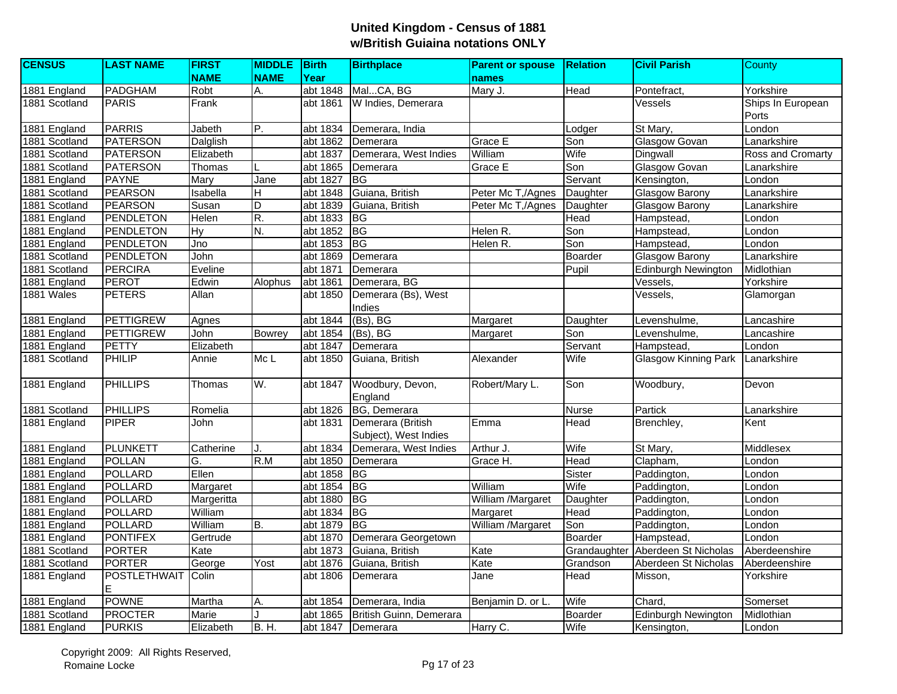| <b>CENSUS</b>  | <b>LAST NAME</b>    | <b>FIRST</b> | <b>MIDDLE</b> Birth |            | <b>Birthplace</b>       | <b>Parent or spouse</b> | <b>Relation</b> | <b>Civil Parish</b>         | County            |
|----------------|---------------------|--------------|---------------------|------------|-------------------------|-------------------------|-----------------|-----------------------------|-------------------|
|                |                     | <b>NAME</b>  | <b>NAME</b>         | Year       |                         | <b>names</b>            |                 |                             |                   |
| 1881 England   | <b>PADGHAM</b>      | Robt         | А.                  | abt $1848$ | MalCA, BG               | Mary J.                 | Head            | Pontefract,                 | Yorkshire         |
| 1881 Scotland  | <b>PARIS</b>        | Frank        |                     | abt 1861   | W Indies, Demerara      |                         |                 | Vessels                     | Ships In European |
|                |                     |              |                     |            |                         |                         |                 |                             | Ports             |
| 1881 England   | <b>PARRIS</b>       | Jabeth       | P.                  | abt 1834   | Demerara, India         |                         | Lodger          | St Mary,                    | London            |
| 1881 Scotland  | <b>PATERSON</b>     | Dalglish     |                     | abt 1862   | Demerara                | Grace E                 | Son             | <b>Glasgow Govan</b>        | Lanarkshire       |
| 1881 Scotland  | <b>PATERSON</b>     | Elizabeth    |                     | abt 1837   | Demerara, West Indies   | William                 | Wife            | Dingwall                    | Ross and Cromarty |
| 1881 Scotland  | <b>PATERSON</b>     | Thomas       |                     | abt 1865   | Demerara                | Grace E                 | Son             | <b>Glasgow Govan</b>        | Lanarkshire       |
| 1881 England   | <b>PAYNE</b>        | Mary         | Jane                | abt 1827   | <b>BG</b>               |                         | Servant         | Kensington,                 | London            |
| 1881 Scotland  | <b>PEARSON</b>      | Isabella     | H                   | abt 1848   | Guiana, British         | Peter Mc T,/Agnes       | Daughter        | <b>Glasgow Barony</b>       | Lanarkshire       |
| 1881 Scotland  | <b>PEARSON</b>      | Susan        | D                   | abt 1839   | Guiana, British         | Peter Mc T,/Agnes       | Daughter        | Glasgow Barony              | Lanarkshire       |
| 1881 England   | <b>PENDLETON</b>    | Helen        | R.                  | abt 1833   | <b>BG</b>               |                         | Head            | Hampstead,                  | London            |
| 1881 England   | <b>PENDLETON</b>    | Hy           | N.                  | abt 1852   | BG                      | Helen R.                | Son             | Hampstead,                  | London            |
| 1881 England   | PENDLETON           | Jno          |                     | abt 1853   | BG                      | Helen R.                | Son             | Hampstead,                  | London            |
| 1881 Scotland  | <b>PENDLETON</b>    | John         |                     | abt 1869   | Demerara                |                         | Boarder         | <b>Glasgow Barony</b>       | Lanarkshire       |
| 1881 Scotland  | <b>PERCIRA</b>      | Eveline      |                     | abt 1871   | Demerara                |                         | Pupil           | <b>Edinburgh Newington</b>  | Midlothian        |
| 1881 England   | PEROT               | Edwin        | Alophus             | abt 1861   | Demerara, BG            |                         |                 | Vessels,                    | Yorkshire         |
| 1881 Wales     | <b>PETERS</b>       | Allan        |                     | abt 1850   | Demerara (Bs), West     |                         |                 | Vessels.                    | Glamorgan         |
|                |                     |              |                     |            | Indies                  |                         |                 |                             |                   |
| 1881 England   | <b>PETTIGREW</b>    | Agnes        |                     | abt 1844   | $(Bs)$ , BG             | Margaret                | Daughter        | Levenshulme,                | Lancashire        |
| 1881 England   | <b>PETTIGREW</b>    | John         | <b>Bowrey</b>       | abt 1854   | $(Bs)$ , BG             | Margaret                | Son             | Levenshulme,                | Lancashire        |
| 1881 England   | <b>PETTY</b>        | Elizabeth    |                     | abt 1847   | Demerara                |                         | Servant         | Hampstead,                  | London            |
| 1881 Scotland  | PHILIP              | Annie        | Mc <sub>L</sub>     | abt 1850   | Guiana, British         | Alexander               | Wife            | <b>Glasgow Kinning Park</b> | Lanarkshire       |
|                |                     |              |                     |            |                         |                         |                 |                             |                   |
| 1881 England   | <b>PHILLIPS</b>     | Thomas       | W.                  | abt 1847   | Woodbury, Devon,        | Robert/Mary L.          | Son             | Woodbury,                   | Devon             |
|                |                     |              |                     |            | England                 |                         |                 |                             |                   |
| 1881 Scotland  | <b>PHILLIPS</b>     | Romelia      |                     | abt 1826   | BG, Demerara            |                         | <b>Nurse</b>    | Partick                     | Lanarkshire       |
| 1881 England   | <b>PIPER</b>        | John         |                     | abt 1831   | Demerara (British       | Emma                    | Head            | Brenchley,                  | Kent              |
|                |                     |              |                     |            | Subject), West Indies   |                         |                 |                             |                   |
| 1881 England   | PLUNKETT            | Catherine    | J.                  | abt 1834   | Demerara, West Indies   | Arthur J.               | Wife            | St Mary,                    | Middlesex         |
| 1881 England   | <b>POLLAN</b>       | G.           | R.M                 | abt 1850   | Demerara                | Grace H.                | Head            | Clapham,                    | London            |
| $1881$ England | <b>POLLARD</b>      | Ellen        |                     | abt 1858   | BG                      |                         | Sister          | Paddington,                 | London            |
| 1881 England   | <b>POLLARD</b>      | Margaret     |                     | abt 1854   | BG                      | William                 | Wife            | Paddington,                 | London            |
| 1881 England   | <b>POLLARD</b>      | Margeritta   |                     | abt 1880   | <b>BG</b>               | William /Margaret       | Daughter        | Paddington,                 | London            |
| 1881 England   | <b>POLLARD</b>      | William      |                     | abt 1834   | $\overline{B}$          | Margaret                | Head            | Paddington,                 | London            |
| 1881 England   | <b>POLLARD</b>      | William      | B.                  | abt 1879   | BG                      | William /Margaret       | Son             | Paddington,                 | London            |
| 1881 England   | <b>PONTIFEX</b>     | Gertrude     |                     | abt 1870   | Demerara Georgetown     |                         | Boarder         | Hampstead,                  | London            |
| 1881 Scotland  | <b>PORTER</b>       | Kate         |                     | abt 1873   | Guiana, British         | Kate                    | Grandaughter    | Aberdeen St Nicholas        | Aberdeenshire     |
| 1881 Scotland  | <b>PORTER</b>       | George       | Yost                | abt 1876   | Guiana, British         | Kate                    | Grandson        | Aberdeen St Nicholas        | Aberdeenshire     |
| 1881 England   | <b>POSTLETHWAIT</b> | Colin        |                     | abt 1806   | Demerara                | Jane                    | Head            | Misson,                     | Yorkshire         |
|                |                     |              |                     |            |                         |                         |                 |                             |                   |
| 1881 England   | <b>POWNE</b>        | Martha       | Α.                  | abt 1854   | Demerara, India         | Benjamin D. or L        | Wife            | Chard,                      | Somerset          |
| 1881 Scotland  | <b>PROCTER</b>      | Marie        |                     | abt 1865   | British Guinn, Demerara |                         | <b>Boarder</b>  | Edinburgh Newington         | Midlothian        |
| 1881 England   | <b>PURKIS</b>       | Elizabeth    | <b>B.H.</b>         | abt 1847   | Demerara                | Harry C.                | Wife            | Kensington,                 | London            |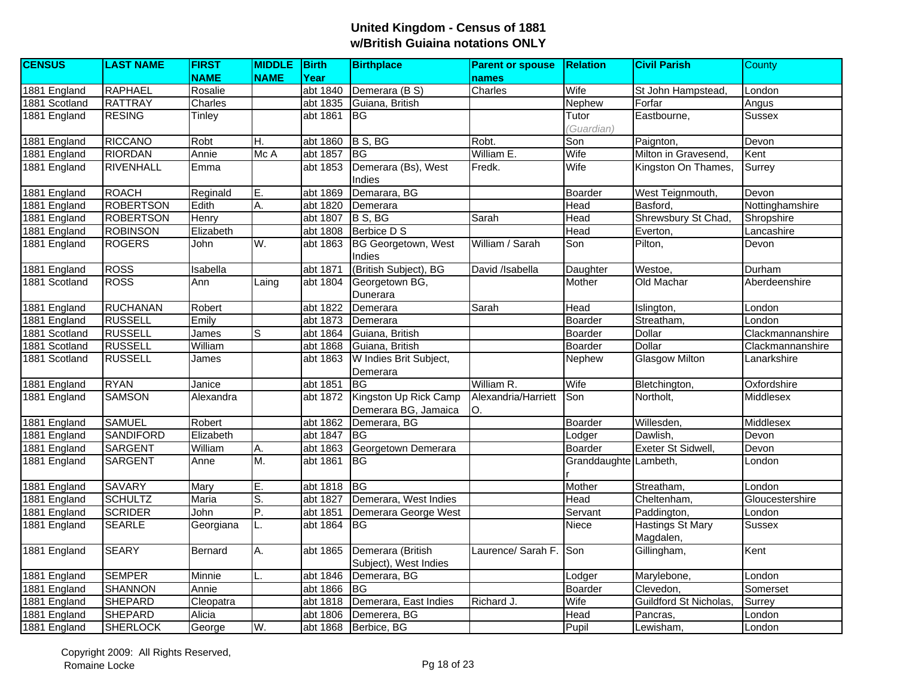| <b>CENSUS</b> | <b>LAST NAME</b> | <b>FIRST</b>  | <b>MIDDLE</b> Birth |          | <b>Birthplace</b>                             | <b>Parent or spouse</b>    | <b>Relation</b>       | <b>Civil Parish</b>                  | County           |
|---------------|------------------|---------------|---------------------|----------|-----------------------------------------------|----------------------------|-----------------------|--------------------------------------|------------------|
|               |                  | <b>NAME</b>   | <b>NAME</b>         | Year     |                                               | names                      |                       |                                      |                  |
| 1881 England  | <b>RAPHAEL</b>   | Rosalie       |                     |          | abt 1840 Demerara (B S)                       | Charles                    | Wife                  | St John Hampstead,                   | London           |
| 1881 Scotland | <b>RATTRAY</b>   | Charles       |                     | abt 1835 | Guiana, British                               |                            | Nephew                | Forfar                               | Angus            |
| 1881 England  | <b>RESING</b>    | Tinley        |                     | abt 1861 | IBG.                                          |                            | Tutor                 | Eastbourne,                          | <b>Sussex</b>    |
|               |                  |               |                     |          |                                               |                            | (Guardian)            |                                      |                  |
| 1881 England  | <b>RICCANO</b>   | Robt          | H.                  | abt 1860 | B S, BG                                       | Robt.                      | Son                   | Paignton,                            | Devon            |
| 1881 England  | <b>RIORDAN</b>   | Annie         | Mc A                | abt 1857 | <b>BG</b>                                     | William E.                 | Wife                  | Milton in Gravesend,                 | Kent             |
| 1881 England  | <b>RIVENHALL</b> | Emma          |                     | abt 1853 | Demerara (Bs), West<br>Indies                 | Fredk.                     | Wife                  | Kingston On Thames,                  | Surrey           |
| 1881 England  | <b>ROACH</b>     | Reginald      | E.                  | abt 1869 | Demarara, BG                                  |                            | Boarder               | West Teignmouth,                     | Devon            |
| 1881 England  | <b>ROBERTSON</b> | Edith         | Α.                  | abt 1820 | Demerara                                      |                            | Head                  | Basford,                             | Nottinghamshire  |
| 1881 England  | <b>ROBERTSON</b> | Henry         |                     | abt 1807 | B S, BG                                       | Sarah                      | Head                  | Shrewsbury St Chad,                  | Shropshire       |
| 1881 England  | <b>ROBINSON</b>  | Elizabeth     |                     | abt 1808 | Berbice D S                                   |                            | Head                  | Everton,                             | Lancashire       |
| 1881 England  | <b>ROGERS</b>    | John          | W.                  | abt 1863 | <b>BG Georgetown, West</b><br>Indies          | William / Sarah            | Son                   | Pilton,                              | Devon            |
| 1881 England  | <b>ROSS</b>      | Isabella      |                     | abt 1871 | (British Subject), BG                         | David /Isabella            | Daughter              | Westoe,                              | Durham           |
| 1881 Scotland | <b>ROSS</b>      | Ann           | Laing               | abt 1804 | Georgetown BG,<br>Dunerara                    |                            | Mother                | Old Machar                           | Aberdeenshire    |
| 1881 England  | <b>RUCHANAN</b>  | Robert        |                     | abt 1822 | Demerara                                      | Sarah                      | Head                  | Islington,                           | London           |
| 1881 England  | <b>RUSSELL</b>   | Emily         |                     | abt 1873 | Demerara                                      |                            | Boarder               | Streatham,                           | London           |
| 1881 Scotland | <b>RUSSELL</b>   | James         | lS.                 | abt 1864 | Guiana, British                               |                            | Boarder               | <b>Dollar</b>                        | Clackmannanshire |
| 1881 Scotland | <b>RUSSELL</b>   | William       |                     | abt 1868 | Guiana, British                               |                            | Boarder               | <b>Dollar</b>                        | Clackmannanshire |
| 1881 Scotland | <b>RUSSELL</b>   | James         |                     | abt 1863 | W Indies Brit Subject,                        |                            | Nephew                | <b>Glasgow Milton</b>                | Lanarkshire      |
|               |                  |               |                     |          | Demerara                                      |                            |                       |                                      |                  |
| 1881 England  | <b>RYAN</b>      | Janice        |                     | abt 1851 | <b>BG</b>                                     | William R.                 | Wife                  | Bletchington,                        | Oxfordshire      |
| 1881 England  | <b>SAMSON</b>    | Alexandra     |                     | abt 1872 | Kingston Up Rick Camp<br>Demerara BG, Jamaica | Alexandria/Harriett<br>IO. | Son                   | Northolt,                            | Middlesex        |
| 1881 England  | <b>SAMUEL</b>    | Robert        |                     | abt 1862 | Demerara, BG                                  |                            | Boarder               | Willesden,                           | Middlesex        |
| 1881 England  | <b>SANDIFORD</b> | Elizabeth     |                     | abt 1847 | <b>BG</b>                                     |                            | Lodger                | Dawlish,                             | Devon            |
| 1881 England  | <b>SARGENT</b>   | William       | Α.                  | abt 1863 | Georgetown Demerara                           |                            | Boarder               | <b>Exeter St Sidwell</b>             | Devon            |
| 1881 England  | <b>SARGENT</b>   | Anne          | M.                  | abt 1861 | <b>BG</b>                                     |                            | Granddaughte Lambeth, |                                      | London           |
| 1881 England  | <b>SAVARY</b>    | Mary          | E.                  | abt 1818 | BG                                            |                            | Mother                | Streatham,                           | London           |
| 1881 England  | <b>SCHULTZ</b>   | Maria         | co.                 | abt 1827 | Demerara, West Indies                         |                            | Head                  | Cheltenham,                          | Gloucestershire  |
| 1881 England  | <b>SCRIDER</b>   | John          | P.                  | abt 1851 | Demerara George West                          |                            | Servant               | Paddington,                          | London           |
| 1881 England  | <b>SEARLE</b>    | Georgiana     | L.                  | abt 1864 | <b>BG</b>                                     |                            | Niece                 | <b>Hastings St Mary</b><br>Magdalen, | Sussex           |
| 1881 England  | <b>SEARY</b>     | Bernard       | A.                  | abt 1865 | Demerara (British<br>Subject), West Indies    | Laurence/ Sarah F.         | Son                   | Gillingham,                          | Kent             |
| 1881 England  | <b>SEMPER</b>    | <b>Minnie</b> | L.                  | abt 1846 | Demerara, BG                                  |                            | Lodger                | Marylebone,                          | London           |
| 1881 England  | <b>SHANNON</b>   | Annie         |                     | abt 1866 | IBG.                                          |                            | Boarder               | Clevedon,                            | Somerset         |
| 1881 England  | <b>SHEPARD</b>   | Cleopatra     |                     | abt 1818 | Demerara, East Indies                         | Richard J.                 | Wife                  | Guildford St Nicholas                | Surrey           |
| 1881 England  | <b>SHEPARD</b>   | Alicia        |                     | abt 1806 | Demerera, BG                                  |                            | Head                  | Pancras,                             | London           |
| 1881 England  | <b>SHERLOCK</b>  | George        | W.                  |          | abt 1868 Berbice, BG                          |                            | Pupil                 | Lewisham,                            | London           |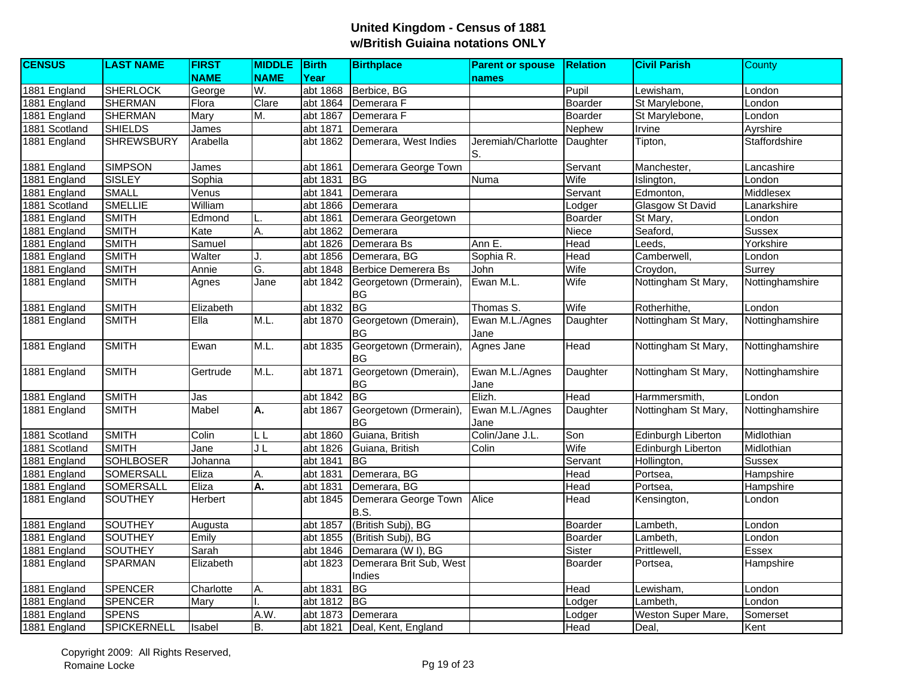| <b>CENSUS</b> | <b>LAST NAME</b>   | <b>FIRST</b> | <b>MIDDLE</b> | Birth    | <b>Birthplace</b>                   | <b>Parent or spouse</b>  | <b>Relation</b> | <b>Civil Parish</b>     | County          |
|---------------|--------------------|--------------|---------------|----------|-------------------------------------|--------------------------|-----------------|-------------------------|-----------------|
|               |                    | <b>NAME</b>  | <b>NAME</b>   | Year     |                                     | names                    |                 |                         |                 |
| 1881 England  | <b>SHERLOCK</b>    | George       | W.            | abt 1868 | Berbice, BG                         |                          | Pupil           | Lewisham.               | London          |
| 1881 England  | <b>SHERMAN</b>     | Flora        | Clare         | abt 1864 | Demerara F                          |                          | Boarder         | St Marylebone,          | London          |
| 1881 England  | <b>SHERMAN</b>     | Mary         | M.            | abt 1867 | Demerara F                          |                          | Boarder         | St Marylebone,          | London          |
| 1881 Scotland | <b>SHIELDS</b>     | James        |               | abt 1871 | Demerara                            |                          | Nephew          | Irvine                  | Ayrshire        |
| 1881 England  | <b>SHREWSBURY</b>  | Arabella     |               | abt 1862 | Demerara, West Indies               | Jeremiah/Charlotte<br>S. | Daughter        | Tipton,                 | Staffordshire   |
| 1881 England  | <b>SIMPSON</b>     | James        |               | abt 1861 | Demerara George Town                |                          | Servant         | Manchester,             | Lancashire      |
| 1881 England  | <b>SISLEY</b>      | Sophia       |               | abt 1831 | <b>I</b> BG                         | Numa                     | Wife            | Islington,              | London          |
| 1881 England  | <b>SMALL</b>       | Venus        |               | abt 1841 | Demerara                            |                          | Servant         | Edmonton,               | Middlesex       |
| 1881 Scotland | <b>SMELLIE</b>     | William      |               | abt 1866 | Demerara                            |                          | Lodger          | <b>Glasgow St David</b> | Lanarkshire     |
| 1881 England  | <b>SMITH</b>       | Edmond       |               | abt 1861 | Demerara Georgetown                 |                          | Boarder         | St Mary,                | London          |
| 1881 England  | <b>SMITH</b>       | Kate         | А.            | abt 1862 | Demerara                            |                          | Niece           | Seaford,                | <b>Sussex</b>   |
| 1881 England  | <b>SMITH</b>       | Samuel       |               | abt 1826 | Demerara Bs                         | Ann E.                   | Head            | Leeds,                  | Yorkshire       |
| 1881 England  | <b>SMITH</b>       | Walter       |               | abt 1856 | Demerara, BG                        | Sophia R.                | Head            | Camberwell,             | London          |
| 1881 England  | <b>SMITH</b>       | Annie        | G.            | abt 1848 | <b>Berbice Demerera Bs</b>          | <b>John</b>              | Wife            | Croydon,                | Surrey          |
| 1881 England  | <b>SMITH</b>       | Agnes        | Jane          | abt 1842 | Georgetown (Drmerain),<br><b>BG</b> | Ewan M.L.                | Wife            | Nottingham St Mary,     | Nottinghamshire |
| 1881 England  | <b>SMITH</b>       | Elizabeth    |               | abt 1832 | <b>BG</b>                           | Thomas S.                | Wife            | Rotherhithe,            | London          |
| 1881 England  | <b>SMITH</b>       | Ella         | M.L.          | abt 1870 | Georgetown (Dmerain),<br><b>BG</b>  | Ewan M.L./Agnes<br>Jane  | Daughter        | Nottingham St Mary,     | Nottinghamshire |
| 1881 England  | <b>SMITH</b>       | Ewan         | M.L.          | abt 1835 | Georgetown (Drmerain),<br><b>BG</b> | Agnes Jane               | Head            | Nottingham St Mary,     | Nottinghamshire |
| 1881 England  | <b>SMITH</b>       | Gertrude     | M.L.          | abt 1871 | Georgetown (Dmerain),<br><b>BG</b>  | Ewan M.L./Agnes<br>Jane  | Daughter        | Nottingham St Mary,     | Nottinghamshire |
| 1881 England  | <b>SMITH</b>       | Jas          |               | abt 1842 | <b>BG</b>                           | Elizh.                   | Head            | Harmmersmith.           | London          |
| 1881 England  | <b>SMITH</b>       | Mabel        | A.            | abt 1867 | Georgetown (Drmerain),<br><b>BG</b> | Ewan M.L./Agnes<br>Jane  | Daughter        | Nottingham St Mary,     | Nottinghamshire |
| 1881 Scotland | <b>SMITH</b>       | Colin        | LL            | abt 1860 | Guiana, British                     | Colin/Jane J.L.          | Son             | Edinburgh Liberton      | Midlothian      |
| 1881 Scotland | <b>SMITH</b>       | Jane         | J L           | abt 1826 | Guiana, British                     | Colin                    | Wife            | Edinburgh Liberton      | Midlothian      |
| 1881 England  | <b>SOHLBOSER</b>   | Johanna      |               | abt 1841 | <b>BG</b>                           |                          | Servant         | Hollington,             | <b>Sussex</b>   |
| 1881 England  | <b>SOMERSALL</b>   | Eliza        | Α.            | abt 1831 | Demerara, BG                        |                          | Head            | Portsea,                | Hampshire       |
| 1881 England  | <b>SOMERSALL</b>   | Eliza        | Α.            | abt 1831 | Demerara, BG                        |                          | Head            | Portsea,                | Hampshire       |
| 1881 England  | <b>SOUTHEY</b>     | Herbert      |               | abt 1845 | Demerara George Town<br>B.S.        | Alice                    | Head            | Kensington,             | London          |
| 1881 England  | <b>SOUTHEY</b>     | Augusta      |               | abt 1857 | (British Subj), BG                  |                          | Boarder         | Lambeth.                | London          |
| 1881 England  | <b>SOUTHEY</b>     | Emily        |               | abt 1855 | (British Subj), BG                  |                          | Boarder         | Lambeth,                | London          |
| 1881 England  | <b>SOUTHEY</b>     | Sarah        |               | abt 1846 | Demarara (W I), BG                  |                          | Sister          | Prittlewell,            | Essex           |
| 1881 England  | SPARMAN            | Elizabeth    |               | abt 1823 | Demerara Brit Sub, West<br>Indies   |                          | <b>Boarder</b>  | Portsea.                | Hampshire       |
| 1881 England  | <b>SPENCER</b>     | Charlotte    | Α.            | abt 1831 | <b>BG</b>                           |                          | Head            | Lewisham,               | London          |
| 1881 England  | <b>SPENCER</b>     | Mary         |               | abt 1812 | <b>BG</b>                           |                          | Lodger          | Lambeth,                | London          |
| 1881 England  | <b>SPENS</b>       |              | A.W.          | abt 1873 | Demerara                            |                          | Lodger          | Weston Super Mare,      | Somerset        |
| 1881 England  | <b>SPICKERNELL</b> | Isabel       | B.            | abt 1821 | Deal, Kent, England                 |                          | Head            | Deal,                   | Kent            |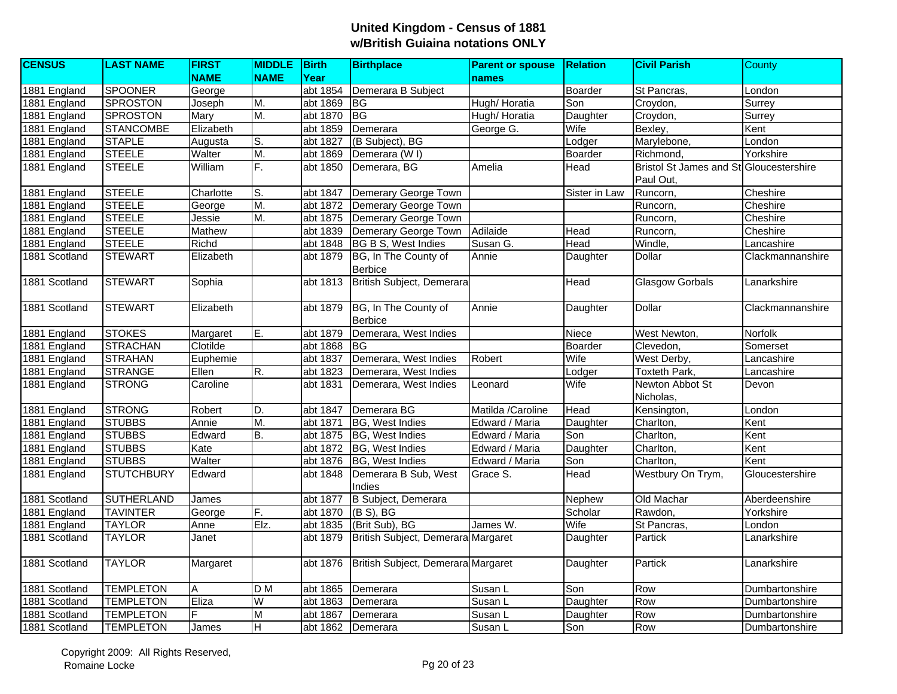| <b>CENSUS</b> | <b>LAST NAME</b>  | <b>FIRST</b>  | <b>MIDDLE</b> Birth     |                       | <b>Birthplace</b>                  | <b>Parent or spouse</b> | <b>Relation</b> | <b>Civil Parish</b>                     | County           |
|---------------|-------------------|---------------|-------------------------|-----------------------|------------------------------------|-------------------------|-----------------|-----------------------------------------|------------------|
|               |                   | <b>NAME</b>   | <b>NAME</b>             | Year                  |                                    | names                   |                 |                                         |                  |
| 1881 England  | <b>SPOONER</b>    | George        |                         | abt 1854              | Demerara B Subject                 |                         | Boarder         | St Pancras,                             | London           |
| 1881 England  | <b>SPROSTON</b>   | Joseph        | M.                      | abt 1869              | <b>BG</b>                          | Hugh/ Horatia           | Son             | Croydon,                                | Surrey           |
| 1881 England  | <b>SPROSTON</b>   | Mary          | М.                      | abt 1870              | <b>BG</b>                          | Hugh/Horatia            | Daughter        | Croydon,                                | Surrey           |
| 1881 England  | <b>STANCOMBE</b>  | Elizabeth     |                         | abt 1859              | Demerara                           | George G.               | Wife            | Bexley,                                 | Kent             |
| 1881 England  | <b>STAPLE</b>     | Augusta       | S.                      | abt 1827              | (B Subject), BG                    |                         | Lodger          | Marylebone,                             | London           |
| 1881 England  | <b>STEELE</b>     | Walter        | M.                      | abt 1869              | Demerara (WI)                      |                         | Boarder         | Richmond,                               | Yorkshire        |
| 1881 England  | <b>STEELE</b>     | William       | F.                      | abt 1850              | Demerara, BG                       | Amelia                  | Head            | Bristol St James and St Gloucestershire |                  |
|               |                   |               |                         |                       |                                    |                         |                 | Paul Out,                               |                  |
| 1881 England  | <b>STEELE</b>     | Charlotte     | lS.                     | abt 1847              | Demerary George Town               |                         | Sister in Law   | Runcorn,                                | Cheshire         |
| 1881 England  | <b>STEELE</b>     | George        | M.                      | abt 1872              | Demerary George Town               |                         |                 | Runcorn,                                | Cheshire         |
| 1881 England  | <b>STEELE</b>     | Jessie        | М.                      | abt 1875              | Demerary George Town               |                         |                 | Runcorn,                                | Cheshire         |
| 1881 England  | <b>STEELE</b>     | <b>Mathew</b> |                         | abt 1839              | Demerary George Town               | Adilaide                | Head            | Runcorn,                                | Cheshire         |
| 1881 England  | <b>STEELE</b>     | Richd         |                         | abt 1848              | <b>BG B S, West Indies</b>         | Susan G.                | Head            | Windle,                                 | Lancashire       |
| 1881 Scotland | <b>STEWART</b>    | Elizabeth     |                         | abt 1879              | BG, In The County of               | Annie                   | Daughter        | Dollar                                  | Clackmannanshire |
|               |                   |               |                         |                       | <b>Berbice</b>                     |                         |                 |                                         |                  |
| 1881 Scotland | <b>STEWART</b>    | Sophia        |                         | abt 1813              | British Subject, Demerara          |                         | Head            | <b>Glasgow Gorbals</b>                  | _anarkshire      |
|               |                   |               |                         |                       |                                    |                         |                 |                                         |                  |
| 1881 Scotland | <b>STEWART</b>    | Elizabeth     |                         | abt 1879              | BG, In The County of               | Annie                   | Daughter        | Dollar                                  | Clackmannanshire |
|               |                   |               |                         |                       | <b>Berbice</b>                     |                         |                 |                                         |                  |
| 1881 England  | <b>STOKES</b>     | Margaret      | E.                      | abt 1879              | Demerara, West Indies              |                         | Niece           | West Newton,                            | Norfolk          |
| 1881 England  | <b>STRACHAN</b>   | Clotilde      |                         | abt 1868              | ΙBG                                |                         | Boarder         | Clevedon.                               | Somerset         |
| 1881 England  | <b>STRAHAN</b>    | Euphemie      |                         | abt 1837              | Demerara, West Indies              | Robert                  | Wife            | West Derby,                             | Lancashire       |
| 1881 England  | <b>STRANGE</b>    | Ellen         | R.                      | abt 1823              | Demerara, West Indies              |                         | Lodger          | Toxteth Park,                           | Lancashire       |
| 1881 England  | <b>STRONG</b>     | Caroline      |                         | abt 1831              | Demerara, West Indies              | Leonard                 | Wife            | Newton Abbot St                         | Devon            |
|               |                   |               |                         |                       |                                    |                         |                 | Nicholas,                               |                  |
| 1881 England  | <b>STRONG</b>     | Robert        | D.                      | abt 1847              | Demerara BG                        | Matilda /Caroline       | Head            | Kensington,                             | London           |
| 1881 England  | <b>STUBBS</b>     | Annie         | M.                      | abt 1871              | <b>BG, West Indies</b>             | Edward / Maria          | Daughter        | Charlton,                               | Kent             |
| 1881 England  | <b>STUBBS</b>     | Edward        | B.                      | abt 1875              | BG, West Indies                    | Edward / Maria          | Son             | Charlton,                               | Kent             |
| 1881 England  | <b>STUBBS</b>     | Kate          |                         | abt 1872              | <b>BG, West Indies</b>             | Edward / Maria          | Daughter        | Charlton,                               | Kent             |
| 1881 England  | <b>STUBBS</b>     | Walter        |                         | abt 1876              | <b>BG, West Indies</b>             | Edward / Maria          | Son             | Charlton,                               | Kent             |
| 1881 England  | <b>STUTCHBURY</b> | Edward        |                         | abt $18\overline{48}$ | Demerara B Sub, West               | Grace S.                | Head            | Westbury On Trym,                       | Gloucestershire  |
|               |                   |               |                         |                       | Indies                             |                         |                 |                                         |                  |
| 1881 Scotland | <b>SUTHERLAND</b> | James         |                         | abt 1877              | B Subject, Demerara                |                         | Nephew          | Old Machar                              | Aberdeenshire    |
| 1881 England  | <b>TAVINTER</b>   | George        | F.                      | abt 1870              | $(B S)$ , BG                       |                         | Scholar         | Rawdon,                                 | Yorkshire        |
| 1881 England  | <b>TAYLOR</b>     | Anne          | Elz.                    | abt 1835              | (Brit Sub), BG                     | James W.                | Wife            | St Pancras,                             | London           |
| 1881 Scotland | <b>TAYLOR</b>     | Janet         |                         | abt 1879              | British Subject, Demerara Margaret |                         | Daughter        | Partick                                 | _anarkshire      |
|               |                   |               |                         |                       |                                    |                         |                 |                                         |                  |
| 1881 Scotland | <b>TAYLOR</b>     | Margaret      |                         | abt 1876              | British Subject, Demerara Margaret |                         | Daughter        | Partick                                 | Lanarkshire      |
|               |                   |               |                         |                       |                                    |                         |                 |                                         |                  |
| 1881 Scotland | <b>TEMPLETON</b>  | A             | $\overline{D}$ M        | abt 1865              | Demerara                           | Susan L                 | Son             | Row                                     | Dumbartonshire   |
| 1881 Scotland | <b>TEMPLETON</b>  | Eliza         | W                       | abt 1863              | Demerara                           | Susan L                 | Daughter        | Row                                     | Dumbartonshire   |
| 1881 Scotland | <b>TEMPLETON</b>  | F             | $\overline{\mathsf{M}}$ | abt 1867              | Demerara                           | Susan L                 | Daughter        | Row                                     | Dumbartonshire   |
| 1881 Scotland | <b>TEMPLETON</b>  | James         | $\pm$                   | abt 1862              | Demerara                           | Susan L                 | Son             | Row                                     | Dumbartonshire   |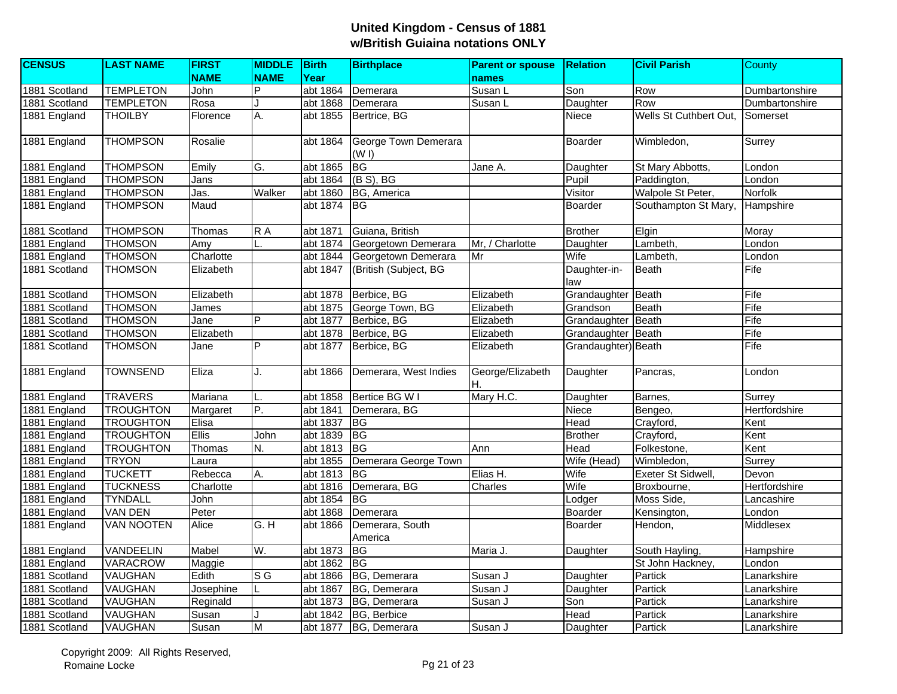| <b>CENSUS</b> | <b>LAST NAME</b>  | <b>FIRST</b>      | <b>MIDDLE</b> Birth |          | <b>Birthplace</b>             | <b>Parent or spouse</b> | <b>Relation</b>     | <b>Civil Parish</b>    | County         |
|---------------|-------------------|-------------------|---------------------|----------|-------------------------------|-------------------------|---------------------|------------------------|----------------|
|               |                   | <b>NAME</b>       | <b>NAME</b>         | Year     |                               | names                   |                     |                        |                |
| 1881 Scotland | <b>TEMPLETON</b>  | John              | P                   | abt 1864 | Demerara                      | Susan L                 | Son                 | Row                    | Dumbartonshire |
| 1881 Scotland | <b>TEMPLETON</b>  | Rosa              |                     | abt 1868 | Demerara                      | Susan L                 | Daughter            | Row                    | Dumbartonshire |
| 1881 England  | <b>THOILBY</b>    | Florence          | Α.                  | abt 1855 | Bertrice, BG                  |                         | Niece               | Wells St Cuthbert Out, | Somerset       |
| 1881 England  | <b>THOMPSON</b>   | Rosalie           |                     | abt 1864 | George Town Demerara<br>(W I) |                         | Boarder             | Wimbledon,             | Surrey         |
| 1881 England  | <b>THOMPSON</b>   | Emily             | G.                  | abt 1865 | BG                            | Jane A.                 | Daughter            | St Mary Abbotts,       | London         |
| 1881 England  | <b>THOMPSON</b>   | Jans              |                     | abt 1864 | $(B S)$ , BG                  |                         | Pupil               | Paddington,            | London         |
| 1881 England  | <b>THOMPSON</b>   | $\overline{Jas.}$ | Walker              | abt 1860 | BG, America                   |                         | Visitor             | Walpole St Peter,      | Norfolk        |
| 1881 England  | <b>THOMPSON</b>   | Maud              |                     | abt 1874 | <b>IBG</b>                    |                         | Boarder             | Southampton St Mary,   | Hampshire      |
| 1881 Scotland | <b>THOMPSON</b>   | Thomas            | $R$ A               | abt 1871 | Guiana, British               |                         | <b>Brother</b>      | Elgin                  | Moray          |
| 1881 England  | <b>THOMSON</b>    | Amy               |                     | abt 1874 | Georgetown Demerara           | Mr, / Charlotte         | Daughter            | Lambeth,               | London         |
| 1881 England  | <b>THOMSON</b>    | Charlotte         |                     | abt 1844 | Georgetown Demerara           | Mr                      | Wife                | Lambeth,               | London         |
| 1881 Scotland | <b>THOMSON</b>    | Elizabeth         |                     | abt 1847 | (British (Subject, BG         |                         | Daughter-in-<br>law | <b>Beath</b>           | Fife           |
| 1881 Scotland | <b>THOMSON</b>    | Elizabeth         |                     | abt 1878 | Berbice, BG                   | Elizabeth               | Grandaughter        | <b>Beath</b>           | Fife           |
| 1881 Scotland | <b>THOMSON</b>    | James             |                     | abt 1875 | George Town, BG               | Elizabeth               | Grandson            | Beath                  | Fife           |
| 1881 Scotland | <b>THOMSON</b>    | Jane              | P                   | abt 1877 | Berbice, BG                   | Elizabeth               | Grandaughter        | Beath                  | Fife           |
| 1881 Scotland | <b>THOMSON</b>    | Elizabeth         |                     | abt 1878 | Berbice, BG                   | Elizabeth               | Grandaughter        | Beath                  | Fife           |
| 1881 Scotland | <b>THOMSON</b>    | Jane              | $\overline{P}$      | abt 1877 | Berbice, BG                   | Elizabeth               | Grandaughter) Beath |                        | Fife           |
| 1881 England  | <b>TOWNSEND</b>   | Eliza             | J.                  | abt 1866 | Demerara, West Indies         | George/Elizabeth<br>İΗ. | Daughter            | Pancras,               | London         |
| 1881 England  | <b>TRAVERS</b>    | Mariana           |                     | abt 1858 | Bertice BG W I                | Mary H.C.               | Daughter            | Barnes,                | Surrey         |
| 1881 England  | <b>TROUGHTON</b>  | Margaret          | P.                  | abt 1841 | Demerara, BG                  |                         | Niece               | Bengeo,                | Hertfordshire  |
| 1881 England  | <b>TROUGHTON</b>  | Elisa             |                     | abt 1837 | BG                            |                         | Head                | Crayford,              | Kent           |
| 1881 England  | <b>TROUGHTON</b>  | Ellis             | John                | abt 1839 | BG                            |                         | <b>Brother</b>      | Crayford,              | Kent           |
| 1881 England  | <b>TROUGHTON</b>  | Thomas            | N.                  | abt 1813 | <b>BG</b>                     | Ann                     | Head                | Folkestone,            | Kent           |
| 1881 England  | <b>TRYON</b>      | Laura             |                     | abt 1855 | Demerara George Town          |                         | Wife (Head)         | Wimbledon,             | Surrey         |
| 1881 England  | <b>TUCKETT</b>    | Rebecca           | A.                  | abt 1813 | <b>BG</b>                     | Elias H.                | Wife                | Exeter St Sidwell,     | Devon          |
| 1881 England  | <b>TUCKNESS</b>   | Charlotte         |                     | abt 1816 | Demerara, BG                  | Charles                 | Wife                | Broxbourne,            | Hertfordshire  |
| 1881 England  | <b>TYNDALL</b>    | John              |                     | abt 1854 | <b>BG</b>                     |                         | Lodger              | Moss Side,             | Lancashire     |
| 1881 England  | <b>VAN DEN</b>    | Peter             |                     | abt 1868 | Demerara                      |                         | Boarder             | Kensington,            | London         |
| 1881 England  | <b>VAN NOOTEN</b> | Alice             | G.H                 | abt 1866 | Demerara, South<br>America    |                         | Boarder             | Hendon,                | Middlesex      |
| 1881 England  | VANDEELIN         | Mabel             | W.                  | abt 1873 | BG                            | Maria J.                | Daughter            | South Hayling,         | Hampshire      |
| 1881 England  | <b>VARACROW</b>   | Maggie            |                     | abt 1862 | <b>BG</b>                     |                         |                     | St John Hackney,       | London         |
| 1881 Scotland | <b>VAUGHAN</b>    | Edith             | $S\overline{G}$     | abt 1866 | BG, Demerara                  | Susan J                 | Daughter            | Partick                | Lanarkshire    |
| 1881 Scotland | <b>VAUGHAN</b>    | Josephine         |                     | abt 1867 | BG, Demerara                  | Susan J                 | Daughter            | Partick                | Lanarkshire    |
| 1881 Scotland | <b>VAUGHAN</b>    | Reginald          |                     | abt 1873 | BG, Demerara                  | Susan J                 | Son                 | Partick                | Lanarkshire    |
| 1881 Scotland | VAUGHAN           | Susan             |                     | abt 1842 | BG, Berbice                   |                         | Head                | Partick                | Lanarkshire    |
| 1881 Scotland | <b>VAUGHAN</b>    | Susan             | M                   | abt 1877 | BG, Demerara                  | Susan J                 | Daughter            | Partick                | Lanarkshire    |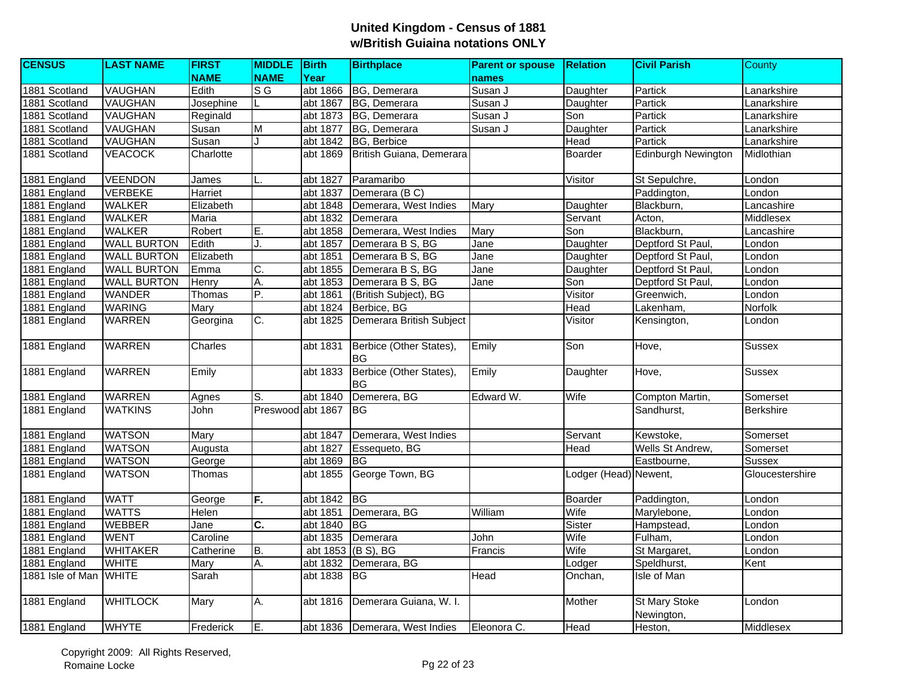| <b>CENSUS</b>          | <b>LAST NAME</b>   | <b>FIRST</b>   | <b>MIDDLE</b> Birth |          | <b>Birthplace</b>                    | <b>Parent or spouse</b> | <b>Relation</b>       | <b>Civil Parish</b>         | County           |
|------------------------|--------------------|----------------|---------------------|----------|--------------------------------------|-------------------------|-----------------------|-----------------------------|------------------|
|                        |                    | <b>NAME</b>    | <b>NAME</b>         | Year     |                                      | names                   |                       |                             |                  |
| 1881 Scotland          | <b>VAUGHAN</b>     | Edith          | $S$ G               | abt 1866 | BG, Demerara                         | Susan J                 | Daughter              | Partick                     | Lanarkshire      |
| 1881 Scotland          | <b>VAUGHAN</b>     | Josephine      |                     | abt 1867 | BG, Demerara                         | Susan J                 | Daughter              | Partick                     | Lanarkshire      |
| 1881 Scotland          | <b>VAUGHAN</b>     | Reginald       |                     | abt 1873 | BG, Demerara                         | Susan J                 | Son                   | Partick                     | Lanarkshire      |
| 1881 Scotland          | <b>VAUGHAN</b>     | Susan          | M                   | abt 1877 | BG, Demerara                         | Susan J                 | Daughter              | Partick                     | Lanarkshire      |
| 1881 Scotland          | <b>VAUGHAN</b>     | Susan          |                     | abt 1842 | BG, Berbice                          |                         | Head                  | Partick                     | Lanarkshire      |
| 1881 Scotland          | <b>VEACOCK</b>     | Charlotte      |                     | abt 1869 | British Guiana, Demerara             |                         | Boarder               | <b>Edinburgh Newington</b>  | Midlothian       |
| 1881 England           | <b>VEENDON</b>     | James          |                     | abt 1827 | Paramaribo                           |                         | Visitor               | St Sepulchre,               | London           |
| 1881 England           | <b>VERBEKE</b>     | <b>Harriet</b> |                     | abt 1837 | Demerara (BC)                        |                         |                       | Paddington,                 | London           |
| 1881 England           | <b>WALKER</b>      | Elizabeth      |                     | abt 1848 | Demerara, West Indies                | Mary                    | Daughter              | Blackburn,                  | Lancashire       |
| 1881 England           | <b>WALKER</b>      | Maria          |                     | abt 1832 | Demerara                             |                         | Servant               | Acton,                      | Middlesex        |
| 1881 England           | <b>WALKER</b>      | Robert         | Ε.                  | abt 1858 | Demerara, West Indies                | <b>Mary</b>             | Son                   | Blackburn,                  | Lancashire       |
| 1881 England           | <b>WALL BURTON</b> | Edith          | J.                  | abt 1857 | Demerara B S, BG                     | Jane                    | Daughter              | Deptford St Paul            | London           |
| 1881 England           | <b>WALL BURTON</b> | Elizabeth      |                     | abt 1851 | Demerara B S, BG                     | Jane                    | Daughter              | Deptford St Paul,           | London           |
| 1881 England           | <b>WALL BURTON</b> | Emma           | C.                  | abt 1855 | Demerara B S, BG                     | Jane                    | Daughter              | Deptford St Paul,           | London           |
| 1881 England           | <b>WALL BURTON</b> | Henry          | A.                  | abt 1853 | Demerara B S, BG                     | Jane                    | Son                   | Deptford St Paul,           | London           |
| 1881 England           | <b>WANDER</b>      | Thomas         | P.                  | abt 1861 | (British Subject), BG                |                         | Visitor               | Greenwich,                  | London           |
| 1881 England           | <b>WARING</b>      | Mary           |                     | abt 1824 | Berbice, BG                          |                         | Head                  | Lakenham,                   | Norfolk          |
| 1881 England           | <b>WARREN</b>      | Georgina       | C.                  | abt 1825 | Demerara British Subject             |                         | Visitor               | Kensington,                 | London           |
| 1881 England           | <b>WARREN</b>      | Charles        |                     | abt 1831 | Berbice (Other States),<br><b>BG</b> | Emily                   | Son                   | Hove,                       | <b>Sussex</b>    |
| 1881 England           | <b>WARREN</b>      | Emily          |                     | abt 1833 | Berbice (Other States),<br><b>BG</b> | Emily                   | Daughter              | Hove,                       | <b>Sussex</b>    |
| 1881 England           | <b>WARREN</b>      | Agnes          | S.                  | abt 1840 | Demerera, BG                         | Edward W.               | Wife                  | Compton Martin,             | Somerset         |
| 1881 England           | <b>WATKINS</b>     | John           | Preswood abt 1867   |          | <b>BG</b>                            |                         |                       | Sandhurst,                  | <b>Berkshire</b> |
| 1881 England           | <b>WATSON</b>      | Mary           |                     | abt 1847 | Demerara, West Indies                |                         | Servant               | Kewstoke,                   | Somerset         |
| 1881 England           | <b>WATSON</b>      | Augusta        |                     | abt 1827 | Essequeto, BG                        |                         | Head                  | Wells St Andrew,            | Somerset         |
| 1881 England           | <b>WATSON</b>      | George         |                     | abt 1869 | <b>IBG</b>                           |                         |                       | Eastbourne,                 | <b>Sussex</b>    |
| 1881 England           | <b>WATSON</b>      | Thomas         |                     | abt 1855 | George Town, BG                      |                         | Lodger (Head) Newent, |                             | Gloucestershire  |
| 1881 England           | <b>WATT</b>        | George         | F.                  | abt 1842 | BG                                   |                         | Boarder               | Paddington,                 | London           |
| 1881 England           | <b>WATTS</b>       | Helen          |                     | abt 1851 | Demerara, BG                         | William                 | Wife                  | Marylebone,                 | London           |
| 1881 England           | <b>WEBBER</b>      | Jane           | C.                  | abt 1840 | <b>BG</b>                            |                         | Sister                | Hampstead,                  | London           |
| 1881 England           | <b>WENT</b>        | Caroline       |                     | abt 1835 | Demerara                             | John                    | Wife                  | Fulham,                     | London           |
| 1881 England           | <b>WHITAKER</b>    | Catherine      | B.                  |          | abt 1853 (B S), BG                   | Francis                 | Wife                  | St Margaret,                | London           |
| 1881 England           | <b>WHITE</b>       | Mary           | Α.                  | abt 1832 | Demerara, BG                         |                         | Lodger                | Speldhurst,                 | Kent             |
| 1881 Isle of Man WHITE |                    | Sarah          |                     | abt 1838 | <b>BG</b>                            | Head                    | Onchan,               | <b>Isle of Man</b>          |                  |
| 1881 England           | <b>WHITLOCK</b>    | Mary           | А.                  | abt 1816 | Demerara Guiana, W. I.               |                         | Mother                | St Mary Stoke<br>Newington, | London           |
| 1881 England           | <b>WHYTE</b>       | Frederick      | ĪΕ.                 |          | abt 1836 Demerara, West Indies       | Eleonora C.             | Head                  | Heston,                     | Middlesex        |